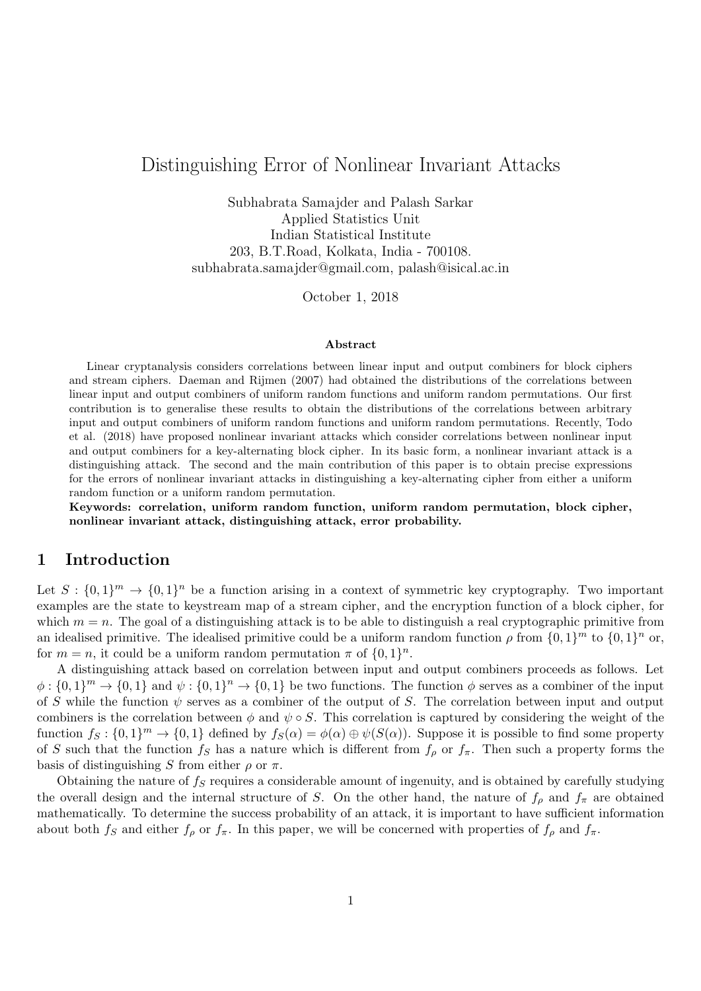# Distinguishing Error of Nonlinear Invariant Attacks

Subhabrata Samajder and Palash Sarkar Applied Statistics Unit Indian Statistical Institute 203, B.T.Road, Kolkata, India - 700108. subhabrata.samajder@gmail.com, palash@isical.ac.in

October 1, 2018

#### Abstract

Linear cryptanalysis considers correlations between linear input and output combiners for block ciphers and stream ciphers. Daeman and Rijmen (2007) had obtained the distributions of the correlations between linear input and output combiners of uniform random functions and uniform random permutations. Our first contribution is to generalise these results to obtain the distributions of the correlations between arbitrary input and output combiners of uniform random functions and uniform random permutations. Recently, Todo et al. (2018) have proposed nonlinear invariant attacks which consider correlations between nonlinear input and output combiners for a key-alternating block cipher. In its basic form, a nonlinear invariant attack is a distinguishing attack. The second and the main contribution of this paper is to obtain precise expressions for the errors of nonlinear invariant attacks in distinguishing a key-alternating cipher from either a uniform random function or a uniform random permutation.

Keywords: correlation, uniform random function, uniform random permutation, block cipher, nonlinear invariant attack, distinguishing attack, error probability.

### 1 Introduction

Let  $S: \{0,1\}^m \to \{0,1\}^n$  be a function arising in a context of symmetric key cryptography. Two important examples are the state to keystream map of a stream cipher, and the encryption function of a block cipher, for which  $m = n$ . The goal of a distinguishing attack is to be able to distinguish a real cryptographic primitive from an idealised primitive. The idealised primitive could be a uniform random function  $\rho$  from  $\{0,1\}^m$  to  $\{0,1\}^n$  or, for  $m = n$ , it could be a uniform random permutation  $\pi$  of  $\{0, 1\}^n$ .

A distinguishing attack based on correlation between input and output combiners proceeds as follows. Let  $\phi: \{0,1\}^m \to \{0,1\}$  and  $\psi: \{0,1\}^n \to \{0,1\}$  be two functions. The function  $\phi$  serves as a combiner of the input of S while the function  $\psi$  serves as a combiner of the output of S. The correlation between input and output combiners is the correlation between  $\phi$  and  $\psi \circ S$ . This correlation is captured by considering the weight of the function  $f_S: \{0,1\}^m \to \{0,1\}$  defined by  $f_S(\alpha) = \phi(\alpha) \oplus \psi(S(\alpha))$ . Suppose it is possible to find some property of S such that the function  $f_S$  has a nature which is different from  $f_\rho$  or  $f_\pi$ . Then such a property forms the basis of distinguishing S from either  $\rho$  or  $\pi$ .

Obtaining the nature of  $f_S$  requires a considerable amount of ingenuity, and is obtained by carefully studying the overall design and the internal structure of S. On the other hand, the nature of  $f_{\rho}$  and  $f_{\pi}$  are obtained mathematically. To determine the success probability of an attack, it is important to have sufficient information about both  $f_S$  and either  $f_\rho$  or  $f_\pi$ . In this paper, we will be concerned with properties of  $f_\rho$  and  $f_\pi$ .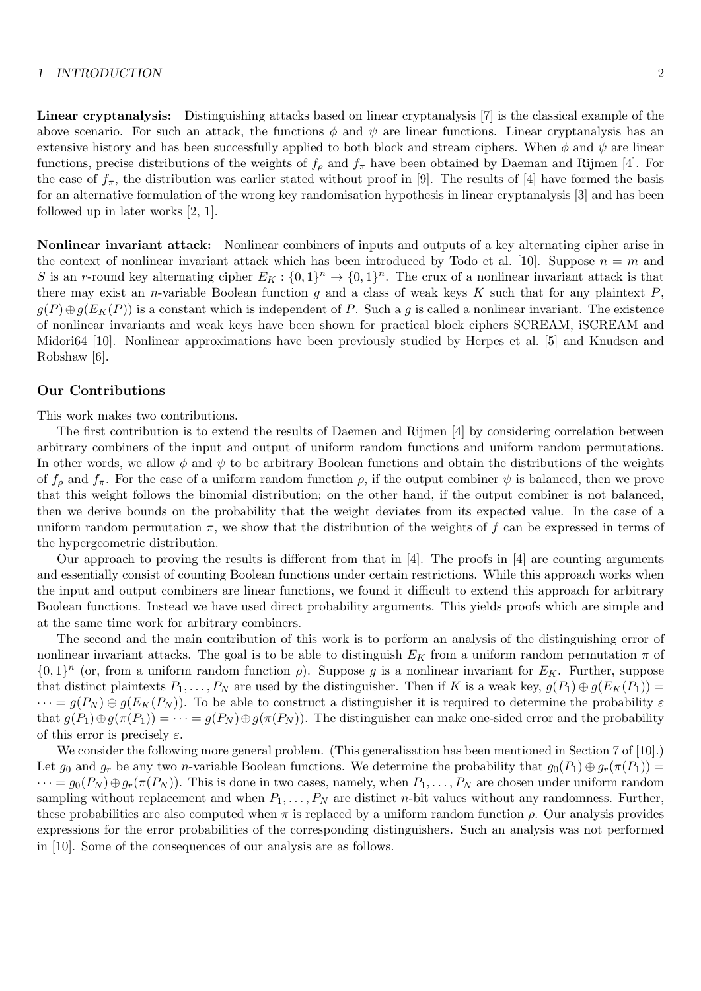#### 1 INTRODUCTION 2

Linear cryptanalysis: Distinguishing attacks based on linear cryptanalysis [7] is the classical example of the above scenario. For such an attack, the functions  $\phi$  and  $\psi$  are linear functions. Linear cryptanalysis has an extensive history and has been successfully applied to both block and stream ciphers. When  $\phi$  and  $\psi$  are linear functions, precise distributions of the weights of  $f_\rho$  and  $f_\pi$  have been obtained by Daeman and Rijmen [4]. For the case of  $f_{\pi}$ , the distribution was earlier stated without proof in [9]. The results of [4] have formed the basis for an alternative formulation of the wrong key randomisation hypothesis in linear cryptanalysis [3] and has been followed up in later works [2, 1].

Nonlinear invariant attack: Nonlinear combiners of inputs and outputs of a key alternating cipher arise in the context of nonlinear invariant attack which has been introduced by Todo et al. [10]. Suppose  $n = m$  and S is an r-round key alternating cipher  $E_K: \{0,1\}^n \to \{0,1\}^n$ . The crux of a nonlinear invariant attack is that there may exist an *n*-variable Boolean function g and a class of weak keys K such that for any plaintext  $P$ ,  $g(P) \oplus g(E_K(P))$  is a constant which is independent of P. Such a g is called a nonlinear invariant. The existence of nonlinear invariants and weak keys have been shown for practical block ciphers SCREAM, iSCREAM and Midori64 [10]. Nonlinear approximations have been previously studied by Herpes et al. [5] and Knudsen and Robshaw [6].

### Our Contributions

This work makes two contributions.

The first contribution is to extend the results of Daemen and Rijmen [4] by considering correlation between arbitrary combiners of the input and output of uniform random functions and uniform random permutations. In other words, we allow  $\phi$  and  $\psi$  to be arbitrary Boolean functions and obtain the distributions of the weights of  $f_\rho$  and  $f_\pi$ . For the case of a uniform random function  $\rho$ , if the output combiner  $\psi$  is balanced, then we prove that this weight follows the binomial distribution; on the other hand, if the output combiner is not balanced, then we derive bounds on the probability that the weight deviates from its expected value. In the case of a uniform random permutation  $\pi$ , we show that the distribution of the weights of f can be expressed in terms of the hypergeometric distribution.

Our approach to proving the results is different from that in [4]. The proofs in [4] are counting arguments and essentially consist of counting Boolean functions under certain restrictions. While this approach works when the input and output combiners are linear functions, we found it difficult to extend this approach for arbitrary Boolean functions. Instead we have used direct probability arguments. This yields proofs which are simple and at the same time work for arbitrary combiners.

The second and the main contribution of this work is to perform an analysis of the distinguishing error of nonlinear invariant attacks. The goal is to be able to distinguish  $E_K$  from a uniform random permutation  $\pi$  of  $\{0,1\}^n$  (or, from a uniform random function  $\rho$ ). Suppose g is a nonlinear invariant for  $E_K$ . Further, suppose that distinct plaintexts  $P_1, \ldots, P_N$  are used by the distinguisher. Then if K is a weak key,  $g(P_1) \oplus g(E_K(P_1)) =$  $\cdots = q(P_N) \oplus q(E_K(P_N))$ . To be able to construct a distinguisher it is required to determine the probability  $\varepsilon$ that  $g(P_1) \oplus g(\pi(P_1)) = \cdots = g(P_N) \oplus g(\pi(P_N))$ . The distinguisher can make one-sided error and the probability of this error is precisely  $\varepsilon$ .

We consider the following more general problem. (This generalisation has been mentioned in Section 7 of [10].) Let  $g_0$  and  $g_r$  be any two *n*-variable Boolean functions. We determine the probability that  $g_0(P_1) \oplus g_r(\pi(P_1)) =$  $\cdots = g_0(P_N) \oplus g_r(\pi(P_N))$ . This is done in two cases, namely, when  $P_1, \ldots, P_N$  are chosen under uniform random sampling without replacement and when  $P_1, \ldots, P_N$  are distinct *n*-bit values without any randomness. Further, these probabilities are also computed when  $\pi$  is replaced by a uniform random function  $\rho$ . Our analysis provides expressions for the error probabilities of the corresponding distinguishers. Such an analysis was not performed in [10]. Some of the consequences of our analysis are as follows.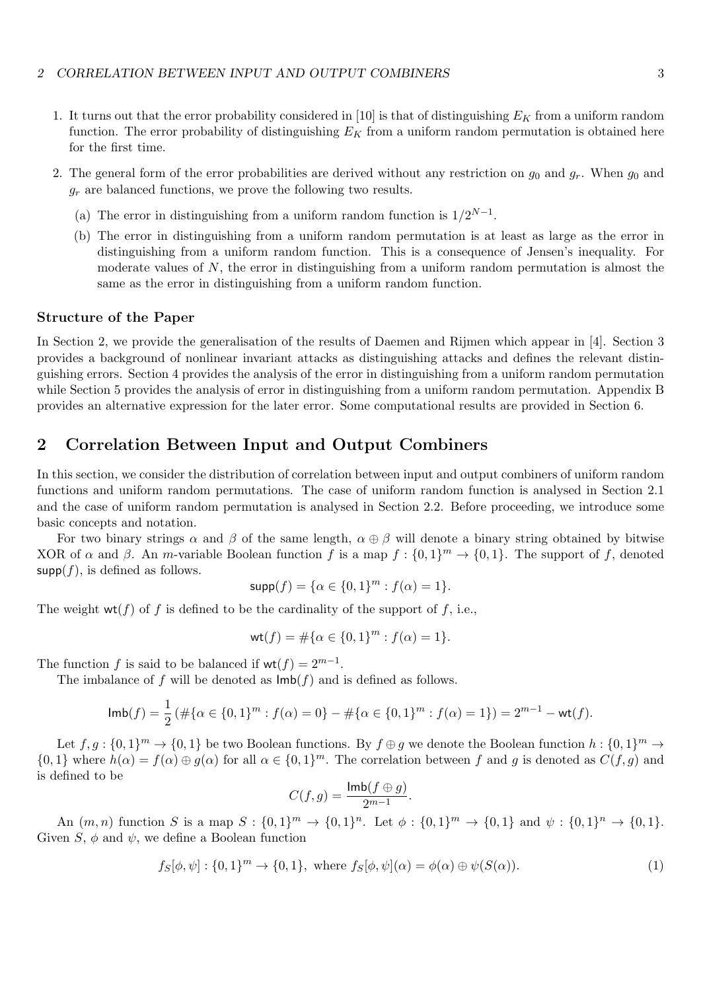- 1. It turns out that the error probability considered in [10] is that of distinguishing  $E_K$  from a uniform random function. The error probability of distinguishing  $E_K$  from a uniform random permutation is obtained here for the first time.
- 2. The general form of the error probabilities are derived without any restriction on  $g_0$  and  $g_r$ . When  $g_0$  and  $g_r$  are balanced functions, we prove the following two results.
	- (a) The error in distinguishing from a uniform random function is  $1/2^{N-1}$ .
	- (b) The error in distinguishing from a uniform random permutation is at least as large as the error in distinguishing from a uniform random function. This is a consequence of Jensen's inequality. For moderate values of  $N$ , the error in distinguishing from a uniform random permutation is almost the same as the error in distinguishing from a uniform random function.

### Structure of the Paper

In Section 2, we provide the generalisation of the results of Daemen and Rijmen which appear in [4]. Section 3 provides a background of nonlinear invariant attacks as distinguishing attacks and defines the relevant distinguishing errors. Section 4 provides the analysis of the error in distinguishing from a uniform random permutation while Section 5 provides the analysis of error in distinguishing from a uniform random permutation. Appendix B provides an alternative expression for the later error. Some computational results are provided in Section 6.

## 2 Correlation Between Input and Output Combiners

In this section, we consider the distribution of correlation between input and output combiners of uniform random functions and uniform random permutations. The case of uniform random function is analysed in Section 2.1 and the case of uniform random permutation is analysed in Section 2.2. Before proceeding, we introduce some basic concepts and notation.

For two binary strings  $\alpha$  and  $\beta$  of the same length,  $\alpha \oplus \beta$  will denote a binary string obtained by bitwise XOR of  $\alpha$  and  $\beta$ . An m-variable Boolean function f is a map  $f: \{0,1\}^m \to \{0,1\}$ . The support of f, denoted  $\mathsf{supp}(f)$ , is defined as follows.

$$
\text{supp}(f) = \{ \alpha \in \{0, 1\}^m : f(\alpha) = 1 \}.
$$

The weight  $wt(f)$  of f is defined to be the cardinality of the support of f, i.e.,

$$
\text{wt}(f) = \#\{\alpha \in \{0,1\}^m : f(\alpha) = 1\}.
$$

The function f is said to be balanced if  $wt(f) = 2^{m-1}$ .

The imbalance of f will be denoted as  $\text{Imb}(f)$  and is defined as follows.

$$
\mathsf{Imb}(f) = \frac{1}{2} \left( \# \{ \alpha \in \{0,1\}^m : f(\alpha) = 0 \} - \# \{ \alpha \in \{0,1\}^m : f(\alpha) = 1 \} \right) = 2^{m-1} - \mathsf{wt}(f).
$$

Let  $f, g: \{0,1\}^m \to \{0,1\}$  be two Boolean functions. By  $f \oplus g$  we denote the Boolean function  $h: \{0,1\}^m \to$  $\{0,1\}$  where  $h(\alpha) = f(\alpha) \oplus g(\alpha)$  for all  $\alpha \in \{0,1\}^m$ . The correlation between f and g is denoted as  $C(f,g)$  and is defined to be

$$
C(f,g) = \frac{\text{Imb}(f \oplus g)}{2^{m-1}}.
$$

An  $(m, n)$  function S is a map  $S: \{0, 1\}^m \to \{0, 1\}^n$ . Let  $\phi: \{0, 1\}^m \to \{0, 1\}$  and  $\psi: \{0, 1\}^n \to \{0, 1\}$ . Given S,  $\phi$  and  $\psi$ , we define a Boolean function

$$
f_S[\phi,\psi] : \{0,1\}^m \to \{0,1\}, \text{ where } f_S[\phi,\psi](\alpha) = \phi(\alpha) \oplus \psi(S(\alpha)). \tag{1}
$$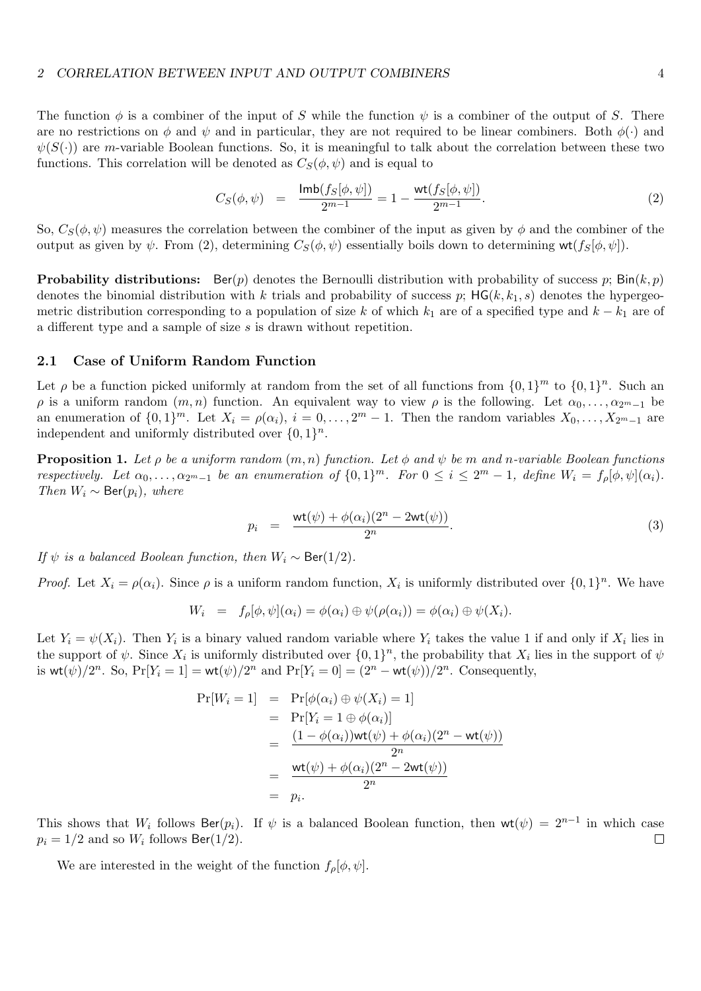The function  $\phi$  is a combiner of the input of S while the function  $\psi$  is a combiner of the output of S. There are no restrictions on  $\phi$  and  $\psi$  and in particular, they are not required to be linear combiners. Both  $\phi(\cdot)$  and  $\psi(S(\cdot))$  are m-variable Boolean functions. So, it is meaningful to talk about the correlation between these two functions. This correlation will be denoted as  $C_S(\phi, \psi)$  and is equal to

$$
C_S(\phi, \psi) = \frac{\text{Imb}(f_S[\phi, \psi])}{2^{m-1}} = 1 - \frac{\text{wt}(f_S[\phi, \psi])}{2^{m-1}}.
$$
 (2)

So,  $C_S(\phi, \psi)$  measures the correlation between the combiner of the input as given by  $\phi$  and the combiner of the output as given by  $\psi$ . From (2), determining  $C_S(\phi, \psi)$  essentially boils down to determining wt( $f_S[\phi, \psi]$ ).

**Probability distributions:** Ber(p) denotes the Bernoulli distribution with probability of success p; Bin(k, p) denotes the binomial distribution with k trials and probability of success p;  $HG(k, k_1, s)$  denotes the hypergeometric distribution corresponding to a population of size k of which  $k_1$  are of a specified type and  $k - k_1$  are of a different type and a sample of size s is drawn without repetition.

### 2.1 Case of Uniform Random Function

Let  $\rho$  be a function picked uniformly at random from the set of all functions from  $\{0,1\}^m$  to  $\{0,1\}^n$ . Such an ρ is a uniform random  $(m, n)$  function. An equivalent way to view ρ is the following. Let  $\alpha_0, \ldots, \alpha_{2^m-1}$  be an enumeration of  $\{0,1\}^m$ . Let  $X_i = \rho(\alpha_i)$ ,  $i = 0, \ldots, 2^m - 1$ . Then the random variables  $X_0, \ldots, X_{2^m-1}$  are independent and uniformly distributed over  $\{0,1\}^n$ .

**Proposition 1.** Let  $\rho$  be a uniform random  $(m, n)$  function. Let  $\phi$  and  $\psi$  be m and n-variable Boolean functions respectively. Let  $\alpha_0, \ldots, \alpha_{2^m-1}$  be an enumeration of  $\{0,1\}^m$ . For  $0 \le i \le 2^m-1$ , define  $W_i = f_\rho[\phi, \psi](\alpha_i)$ . Then  $W_i \sim \text{Ber}(p_i)$ , where

$$
p_i = \frac{\text{wt}(\psi) + \phi(\alpha_i)(2^n - 2\text{wt}(\psi))}{2^n}.
$$
\n(3)

If  $\psi$  is a balanced Boolean function, then  $W_i \sim \text{Ber}(1/2)$ .

*Proof.* Let  $X_i = \rho(\alpha_i)$ . Since  $\rho$  is a uniform random function,  $X_i$  is uniformly distributed over  $\{0,1\}^n$ . We have

$$
W_i = f_{\rho}[\phi, \psi](\alpha_i) = \phi(\alpha_i) \oplus \psi(\rho(\alpha_i)) = \phi(\alpha_i) \oplus \psi(X_i).
$$

Let  $Y_i = \psi(X_i)$ . Then  $Y_i$  is a binary valued random variable where  $Y_i$  takes the value 1 if and only if  $X_i$  lies in the support of  $\psi$ . Since  $X_i$  is uniformly distributed over  $\{0,1\}^n$ , the probability that  $X_i$  lies in the support of  $\psi$ is  $\text{wt}(\psi)/2^n$ . So,  $\Pr[Y_i = 1] = \text{wt}(\psi)/2^n$  and  $\Pr[Y_i = 0] = (2^n - \text{wt}(\psi))/2^n$ . Consequently,

$$
Pr[W_i = 1] = Pr[\phi(\alpha_i) \oplus \psi(X_i) = 1]
$$
  
= 
$$
Pr[Y_i = 1 \oplus \phi(\alpha_i)]
$$
  
= 
$$
\frac{(1 - \phi(\alpha_i))wt(\psi) + \phi(\alpha_i)(2^n - wt(\psi))}{2^n}
$$
  
= 
$$
\frac{wt(\psi) + \phi(\alpha_i)(2^n - 2wt(\psi))}{2^n}
$$
  
= 
$$
p_i.
$$

This shows that  $W_i$  follows Ber(p<sub>i</sub>). If  $\psi$  is a balanced Boolean function, then wt( $\psi$ ) =  $2^{n-1}$  in which case  $p_i = 1/2$  and so  $W_i$  follows Ber(1/2).  $\Box$ 

We are interested in the weight of the function  $f_{\rho}[\phi,\psi]$ .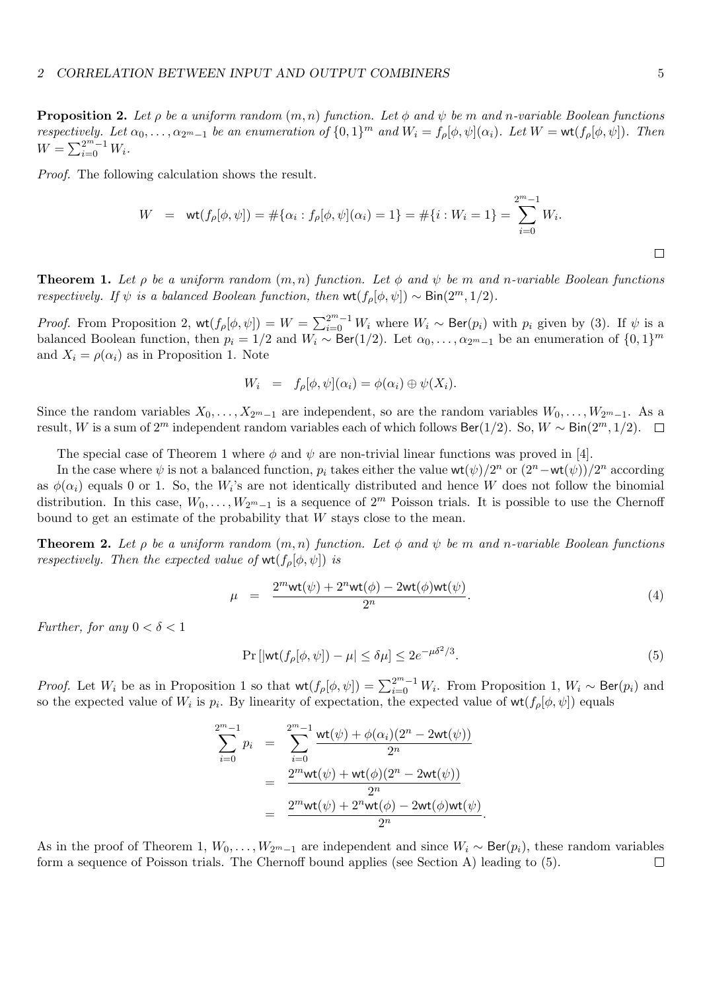**Proposition 2.** Let  $\rho$  be a uniform random  $(m, n)$  function. Let  $\phi$  and  $\psi$  be m and n-variable Boolean functions respectively. Let  $\alpha_0, \ldots, \alpha_{2^m-1}$  be an enumeration of  $\{0,1\}^m$  and  $W_i = f_\rho[\phi, \psi](\alpha_i)$ . Let  $W = \text{wt}(f_\rho[\phi, \psi])$ . Then  $W = \sum_{i=0}^{2^m-1} W_i.$ 

Proof. The following calculation shows the result.

$$
W = \text{wt}(f_{\rho}[\phi,\psi]) = \#\{\alpha_i : f_{\rho}[\phi,\psi](\alpha_i) = 1\} = \#\{i : W_i = 1\} = \sum_{i=0}^{2^m-1} W_i.
$$

**Theorem 1.** Let  $\rho$  be a uniform random  $(m, n)$  function. Let  $\phi$  and  $\psi$  be m and n-variable Boolean functions respectively. If  $\psi$  is a balanced Boolean function, then wt( $f_o[\phi, \psi]$ ) ~ Bin(2<sup>m</sup>, 1/2).

*Proof.* From Proposition 2,  $\text{wt}(f_{\rho}[\phi,\psi]) = W = \sum_{i=0}^{2^{m}-1} W_i$  where  $W_i \sim \text{Ber}(p_i)$  with  $p_i$  given by (3). If  $\psi$  is a balanced Boolean function, then  $p_i = 1/2$  and  $W_i \sim \text{Ber}(1/2)$ . Let  $\alpha_0, \ldots, \alpha_{2^m-1}$  be an enumeration of  $\{0, 1\}^m$ and  $X_i = \rho(\alpha_i)$  as in Proposition 1. Note

$$
W_i = f_{\rho}[\phi, \psi](\alpha_i) = \phi(\alpha_i) \oplus \psi(X_i).
$$

Since the random variables  $X_0, \ldots, X_{2^m-1}$  are independent, so are the random variables  $W_0, \ldots, W_{2^m-1}$ . As a result, W is a sum of  $2^m$  independent random variables each of which follows Ber(1/2). So, W ~ Bin( $2^m$ , 1/2).  $\Box$ 

The special case of Theorem 1 where  $\phi$  and  $\psi$  are non-trivial linear functions was proved in [4].

In the case where  $\psi$  is not a balanced function,  $p_i$  takes either the value wt $(\psi)/2^n$  or  $(2^n - \mathsf{wt}(\psi))/2^n$  according as  $\phi(\alpha_i)$  equals 0 or 1. So, the  $W_i$ 's are not identically distributed and hence W does not follow the binomial distribution. In this case,  $W_0, \ldots, W_{2m-1}$  is a sequence of  $2^m$  Poisson trials. It is possible to use the Chernoff bound to get an estimate of the probability that  $W$  stays close to the mean.

**Theorem 2.** Let  $\rho$  be a uniform random  $(m, n)$  function. Let  $\phi$  and  $\psi$  be m and n-variable Boolean functions respectively. Then the expected value of  $wt(f_0[\phi, \psi])$  is

$$
\mu = \frac{2^m \text{wt}(\psi) + 2^n \text{wt}(\phi) - 2\text{wt}(\phi)\text{wt}(\psi)}{2^n}.
$$
\n(4)

Further, for any  $0 < \delta < 1$ 

$$
\Pr\left[|\text{wt}(f_{\rho}[\phi,\psi]) - \mu| \le \delta\mu\right] \le 2e^{-\mu\delta^2/3}.
$$
\n(5)

*Proof.* Let  $W_i$  be as in Proposition 1 so that  $wt(f_\rho[\phi, \psi]) = \sum_{i=0}^{2^m-1} W_i$ . From Proposition 1,  $W_i \sim \text{Ber}(p_i)$  and so the expected value of  $W_i$  is  $p_i$ . By linearity of expectation, the expected value of  $wt(f_\rho[\phi, \psi])$  equals

$$
\sum_{i=0}^{2^m-1} p_i = \sum_{i=0}^{2^m-1} \frac{\text{wt}(\psi) + \phi(\alpha_i)(2^n - 2\text{wt}(\psi))}{2^n}
$$
  
= 
$$
\frac{2^m \text{wt}(\psi) + \text{wt}(\phi)(2^n - 2\text{wt}(\psi))}{2^n}
$$
  
= 
$$
\frac{2^m \text{wt}(\psi) + 2^n \text{wt}(\phi) - 2\text{wt}(\phi)\text{wt}(\psi)}{2^n}.
$$

As in the proof of Theorem 1,  $W_0, \ldots, W_{2^m-1}$  are independent and since  $W_i \sim \text{Ber}(p_i)$ , these random variables form a sequence of Poisson trials. The Chernoff bound applies (see Section A) leading to (5). $\Box$ 

 $\overline{\phantom{a}}$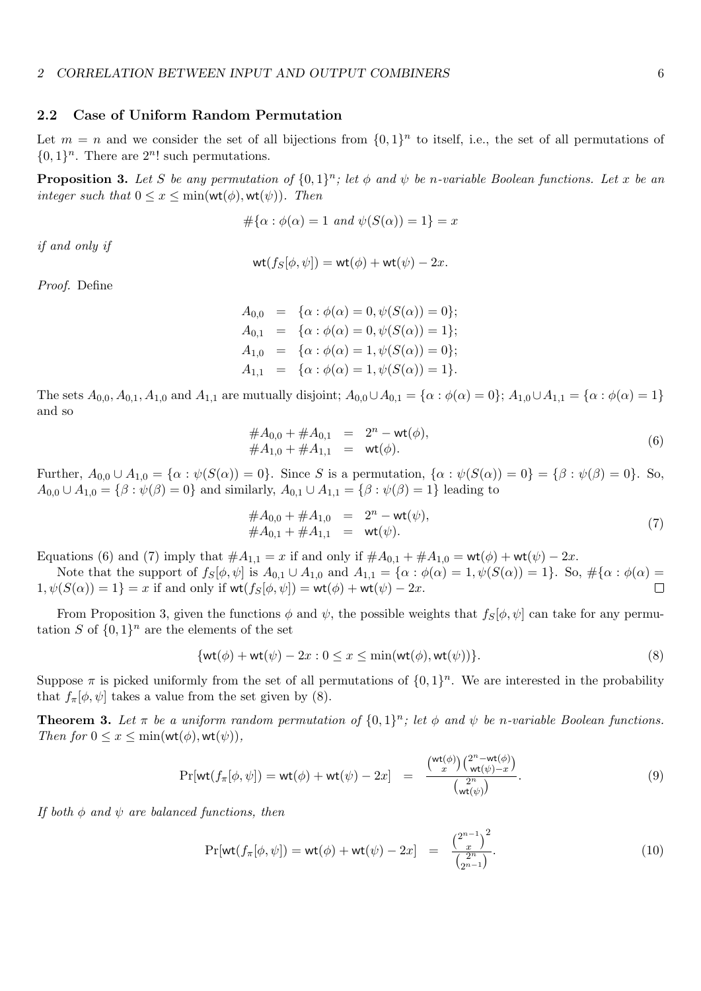### 2.2 Case of Uniform Random Permutation

Let  $m = n$  and we consider the set of all bijections from  $\{0,1\}^n$  to itself, i.e., the set of all permutations of  $\{0,1\}^n$ . There are  $2^n!$  such permutations.

**Proposition 3.** Let S be any permutation of  $\{0,1\}^n$ ; let  $\phi$  and  $\psi$  be n-variable Boolean functions. Let x be an integer such that  $0 \le x \le \min(\textsf{wt}(\phi), \textsf{wt}(\psi))$ . Then

$$
\#\{\alpha : \phi(\alpha) = 1 \text{ and } \psi(S(\alpha)) = 1\} = x
$$

if and only if

$$
\text{wt}(f_S[\phi,\psi]) = \text{wt}(\phi) + \text{wt}(\psi) - 2x.
$$

Proof. Define

 $A_{0,0} = {\alpha : \phi(\alpha) = 0, \psi(S(\alpha)) = 0};$  $A_{0,1} = {\alpha : \phi(\alpha) = 0, \psi(S(\alpha)) = 1};$  $A_{1,0} = {\alpha : \phi(\alpha) = 1, \psi(S(\alpha)) = 0};$  $A_{1,1} = {\alpha : \phi(\alpha) = 1, \psi(S(\alpha)) = 1}.$ 

The sets  $A_{0,0}, A_{0,1}, A_{1,0}$  and  $A_{1,1}$  are mutually disjoint;  $A_{0,0} \cup A_{0,1} = \{\alpha : \phi(\alpha) = 0\}$ ;  $A_{1,0} \cup A_{1,1} = \{\alpha : \phi(\alpha) = 1\}$ and so

$$
\begin{array}{rcl}\n\#A_{0,0} + \#A_{0,1} & = & 2^n - \text{wt}(\phi), \\
\#A_{1,0} + \#A_{1,1} & = & \text{wt}(\phi).\n\end{array} \tag{6}
$$

Further,  $A_{0,0}\cup A_{1,0} = \{\alpha : \psi(S(\alpha)) = 0\}$ . Since S is a permutation,  $\{\alpha : \psi(S(\alpha)) = 0\} = \{\beta : \psi(\beta) = 0\}$ . So,  $A_{0,0} \cup A_{1,0} = \{\beta : \psi(\beta) = 0\}$  and similarly,  $A_{0,1} \cup A_{1,1} = \{\beta : \psi(\beta) = 1\}$  leading to

$$
\#A_{0,0} + \#A_{1,0} = 2^n - \text{wt}(\psi), \n\#A_{0,1} + \#A_{1,1} = \text{wt}(\psi).
$$
\n(7)

Equations (6) and (7) imply that  $\#A_{1,1} = x$  if and only if  $\#A_{0,1} + \#A_{1,0} = \text{wt}(\phi) + \text{wt}(\psi) - 2x$ .

Note that the support of  $f_S[\phi, \psi]$  is  $A_{0,1} \cup A_{1,0}$  and  $A_{1,1} = {\alpha : \phi(\alpha) = 1, \psi(S(\alpha)) = 1}.$  So,  $\#\{\alpha : \phi(\alpha) = 1, \alpha \in \mathbb{C}\}$  $1, \psi(S(\alpha)) = 1$  = x if and only if  $\mathsf{wt}(f_S[\phi, \psi]) = \mathsf{wt}(\phi) + \mathsf{wt}(\psi) - 2x$ .  $\Box$ 

From Proposition 3, given the functions  $\phi$  and  $\psi$ , the possible weights that  $f_S[\phi, \psi]$  can take for any permutation S of  $\{0,1\}^n$  are the elements of the set

$$
\{\text{wt}(\phi) + \text{wt}(\psi) - 2x : 0 \le x \le \min(\text{wt}(\phi), \text{wt}(\psi))\}.
$$
\n(8)

Suppose  $\pi$  is picked uniformly from the set of all permutations of  $\{0,1\}^n$ . We are interested in the probability that  $f_{\pi}[\phi,\psi]$  takes a value from the set given by (8).

**Theorem 3.** Let  $\pi$  be a uniform random permutation of  $\{0,1\}^n$ ; let  $\phi$  and  $\psi$  be n-variable Boolean functions. Then for  $0 \leq x \leq \min(\textsf{wt}(\phi), \textsf{wt}(\psi)),$ 

$$
\Pr[\text{wt}(f_\pi[\phi,\psi]) = \text{wt}(\phi) + \text{wt}(\psi) - 2x] = \frac{\binom{\text{wt}(\phi)}{x}\binom{2^n - \text{wt}(\phi)}{\text{wt}(\psi) - x}}{\binom{2^n}{\text{wt}(\psi)}}.
$$
\n(9)

If both  $\phi$  and  $\psi$  are balanced functions, then

$$
\Pr[\text{wt}(f_\pi[\phi,\psi]) = \text{wt}(\phi) + \text{wt}(\psi) - 2x] = \frac{\binom{2^{n-1}}{x}^2}{\binom{2^n}{2^{n-1}}}.
$$
\n(10)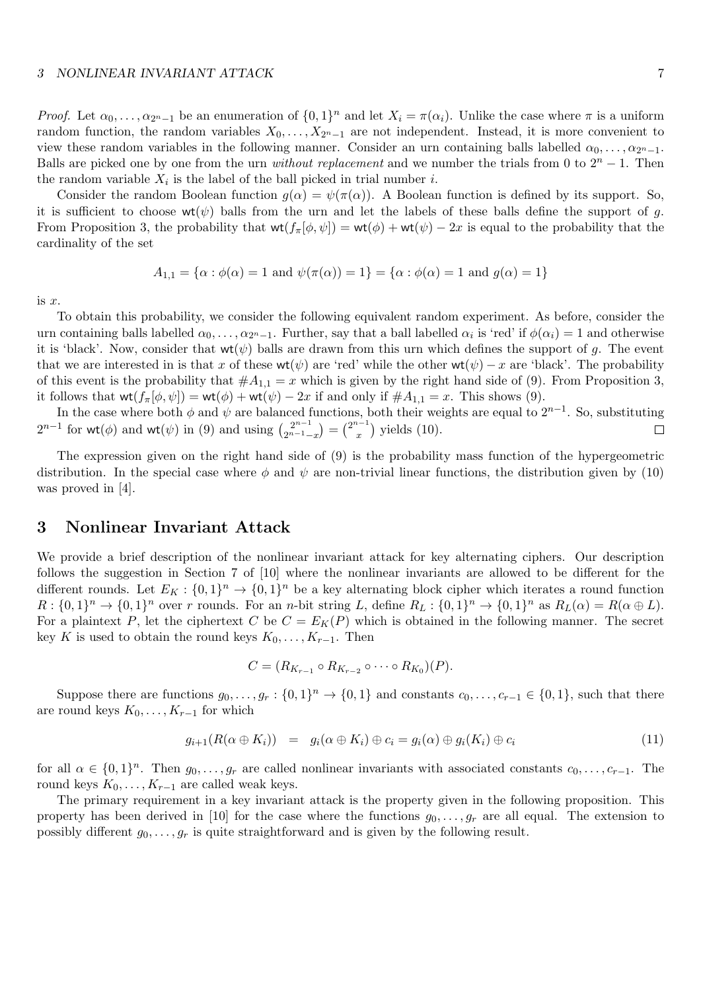### 3 NONLINEAR INVARIANT ATTACK 7

*Proof.* Let  $\alpha_0, \ldots, \alpha_{2^{n}-1}$  be an enumeration of  $\{0,1\}^n$  and let  $X_i = \pi(\alpha_i)$ . Unlike the case where  $\pi$  is a uniform random function, the random variables  $X_0, \ldots, X_{2n-1}$  are not independent. Instead, it is more convenient to view these random variables in the following manner. Consider an urn containing balls labelled  $\alpha_0, \ldots, \alpha_{2^{n}-1}$ . Balls are picked one by one from the urn *without replacement* and we number the trials from 0 to  $2<sup>n</sup> - 1$ . Then the random variable  $X_i$  is the label of the ball picked in trial number i.

Consider the random Boolean function  $g(\alpha) = \psi(\pi(\alpha))$ . A Boolean function is defined by its support. So, it is sufficient to choose  $wt(\psi)$  balls from the urn and let the labels of these balls define the support of g. From Proposition 3, the probability that  $wt(f_\pi[\phi, \psi]) = wt(\phi) + wt(\psi) - 2x$  is equal to the probability that the cardinality of the set

$$
A_{1,1} = \{ \alpha : \phi(\alpha) = 1 \text{ and } \psi(\pi(\alpha)) = 1 \} = \{ \alpha : \phi(\alpha) = 1 \text{ and } g(\alpha) = 1 \}
$$

is x.

To obtain this probability, we consider the following equivalent random experiment. As before, consider the urn containing balls labelled  $\alpha_0, \ldots, \alpha_{2^n-1}$ . Further, say that a ball labelled  $\alpha_i$  is 'red' if  $\phi(\alpha_i) = 1$  and otherwise it is 'black'. Now, consider that  $wt(\psi)$  balls are drawn from this urn which defines the support of g. The event that we are interested in is that x of these wt( $\psi$ ) are 'red' while the other wt( $\psi$ ) – x are 'black'. The probability of this event is the probability that  $#A_{1,1} = x$  which is given by the right hand side of (9). From Proposition 3, it follows that  $\text{wt}(f_\pi[\phi, \psi]) = \text{wt}(\phi) + \text{wt}(\psi) - 2x$  if and only if  $\#A_{1,1} = x$ . This shows (9).

In the case where both  $\phi$  and  $\psi$  are balanced functions, both their weights are equal to  $2^{n-1}$ . So, substituting  $2^{n-1}$  for wt( $\phi$ ) and wt( $\psi$ ) in (9) and using  $\binom{2^{n-1}}{2^{n-1}}$  $\binom{2^{n-1}}{2^{n-1}-x} = \binom{2^{n-1}}{x}$  $\binom{n-1}{x}$  yields (10).

The expression given on the right hand side of (9) is the probability mass function of the hypergeometric distribution. In the special case where  $\phi$  and  $\psi$  are non-trivial linear functions, the distribution given by (10) was proved in [4].

### 3 Nonlinear Invariant Attack

We provide a brief description of the nonlinear invariant attack for key alternating ciphers. Our description follows the suggestion in Section 7 of [10] where the nonlinear invariants are allowed to be different for the different rounds. Let  $E_K: \{0,1\}^n \to \{0,1\}^n$  be a key alternating block cipher which iterates a round function  $R: \{0,1\}^n \to \{0,1\}^n$  over r rounds. For an n-bit string L, define  $R_L: \{0,1\}^n \to \{0,1\}^n$  as  $R_L(\alpha) = R(\alpha \oplus L)$ . For a plaintext P, let the ciphertext C be  $C = E_K(P)$  which is obtained in the following manner. The secret key K is used to obtain the round keys  $K_0, \ldots, K_{r-1}$ . Then

$$
C = (R_{K_{r-1}} \circ R_{K_{r-2}} \circ \cdots \circ R_{K_0})(P).
$$

Suppose there are functions  $g_0, \ldots, g_r : \{0,1\}^n \to \{0,1\}$  and constants  $c_0, \ldots, c_{r-1} \in \{0,1\}$ , such that there are round keys  $K_0, \ldots, K_{r-1}$  for which

$$
g_{i+1}(R(\alpha \oplus K_i)) = g_i(\alpha \oplus K_i) \oplus c_i = g_i(\alpha) \oplus g_i(K_i) \oplus c_i \tag{11}
$$

for all  $\alpha \in \{0,1\}^n$ . Then  $g_0, \ldots, g_r$  are called nonlinear invariants with associated constants  $c_0, \ldots, c_{r-1}$ . The round keys  $K_0, \ldots, K_{r-1}$  are called weak keys.

The primary requirement in a key invariant attack is the property given in the following proposition. This property has been derived in [10] for the case where the functions  $g_0, \ldots, g_r$  are all equal. The extension to possibly different  $g_0, \ldots, g_r$  is quite straightforward and is given by the following result.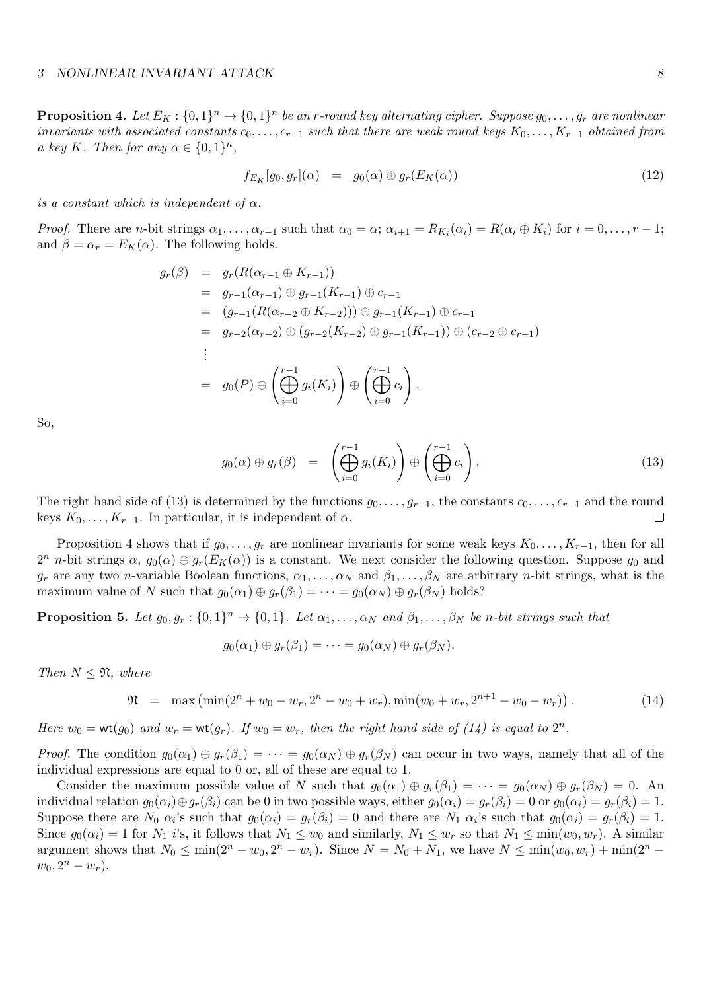### 3 NONLINEAR INVARIANT ATTACK 8

**Proposition 4.** Let  $E_K: \{0,1\}^n \to \{0,1\}^n$  be an r-round key alternating cipher. Suppose  $g_0, \ldots, g_r$  are nonlinear invariants with associated constants  $c_0, \ldots, c_{r-1}$  such that there are weak round keys  $K_0, \ldots, K_{r-1}$  obtained from a key K. Then for any  $\alpha \in \{0,1\}^n$ ,

$$
f_{E_K}[g_0, g_r](\alpha) = g_0(\alpha) \oplus g_r(E_K(\alpha)) \tag{12}
$$

is a constant which is independent of  $\alpha$ .

*Proof.* There are *n*-bit strings  $\alpha_1, \ldots, \alpha_{r-1}$  such that  $\alpha_0 = \alpha$ ;  $\alpha_{i+1} = R_{K_i}(\alpha_i) = R(\alpha_i \oplus K_i)$  for  $i = 0, \ldots, r-1$ ; and  $\beta = \alpha_r = E_K(\alpha)$ . The following holds.

$$
g_r(\beta) = g_r(R(\alpha_{r-1} \oplus K_{r-1}))
$$
  
\n
$$
= g_{r-1}(\alpha_{r-1}) \oplus g_{r-1}(K_{r-1}) \oplus c_{r-1}
$$
  
\n
$$
= (g_{r-1}(R(\alpha_{r-2} \oplus K_{r-2}))) \oplus g_{r-1}(K_{r-1}) \oplus c_{r-1}
$$
  
\n
$$
= g_{r-2}(\alpha_{r-2}) \oplus (g_{r-2}(K_{r-2}) \oplus g_{r-1}(K_{r-1})) \oplus (c_{r-2} \oplus c_{r-1})
$$
  
\n
$$
\vdots
$$
  
\n
$$
= g_0(P) \oplus \left(\bigoplus_{i=0}^{r-1} g_i(K_i)\right) \oplus \left(\bigoplus_{i=0}^{r-1} c_i\right).
$$

So,

$$
g_0(\alpha) \oplus g_r(\beta) = \left( \bigoplus_{i=0}^{r-1} g_i(K_i) \right) \oplus \left( \bigoplus_{i=0}^{r-1} c_i \right). \tag{13}
$$

The right hand side of (13) is determined by the functions  $g_0, \ldots, g_{r-1}$ , the constants  $c_0, \ldots, c_{r-1}$  and the round keys  $K_0, \ldots, K_{r-1}$ . In particular, it is independent of  $\alpha$ .  $\Box$ 

Proposition 4 shows that if  $g_0, \ldots, g_r$  are nonlinear invariants for some weak keys  $K_0, \ldots, K_{r-1}$ , then for all  $2^n$  n-bit strings  $\alpha$ ,  $g_0(\alpha) \oplus g_r(E_K(\alpha))$  is a constant. We next consider the following question. Suppose  $g_0$  and  $g_r$  are any two *n*-variable Boolean functions,  $\alpha_1, \ldots, \alpha_N$  and  $\beta_1, \ldots, \beta_N$  are arbitrary *n*-bit strings, what is the maximum value of N such that  $g_0(\alpha_1) \oplus g_r(\beta_1) = \cdots = g_0(\alpha_N) \oplus g_r(\beta_N)$  holds?

**Proposition 5.** Let  $g_0, g_r : \{0,1\}^n \to \{0,1\}$ . Let  $\alpha_1, \ldots, \alpha_N$  and  $\beta_1, \ldots, \beta_N$  be n-bit strings such that

$$
g_0(\alpha_1) \oplus g_r(\beta_1) = \cdots = g_0(\alpha_N) \oplus g_r(\beta_N).
$$

Then  $N \leq \mathfrak{N}$ , where

$$
\mathfrak{N} = \max(\min(2^n + w_0 - w_r, 2^n - w_0 + w_r), \min(w_0 + w_r, 2^{n+1} - w_0 - w_r)). \tag{14}
$$

Here  $w_0 = \text{wt}(g_0)$  and  $w_r = \text{wt}(g_r)$ . If  $w_0 = w_r$ , then the right hand side of (14) is equal to  $2^n$ .

*Proof.* The condition  $g_0(\alpha_1) \oplus g_r(\beta_1) = \cdots = g_0(\alpha_N) \oplus g_r(\beta_N)$  can occur in two ways, namely that all of the individual expressions are equal to 0 or, all of these are equal to 1.

Consider the maximum possible value of N such that  $g_0(\alpha_1) \oplus g_r(\beta_1) = \cdots = g_0(\alpha_N) \oplus g_r(\beta_N) = 0$ . An individual relation  $g_0(\alpha_i) \oplus g_r(\beta_i)$  can be 0 in two possible ways, either  $g_0(\alpha_i) = g_r(\beta_i) = 0$  or  $g_0(\alpha_i) = g_r(\beta_i) = 1$ . Suppose there are  $N_0 \alpha_i$ 's such that  $g_0(\alpha_i) = g_r(\beta_i) = 0$  and there are  $N_1 \alpha_i$ 's such that  $g_0(\alpha_i) = g_r(\beta_i) = 1$ . Since  $g_0(\alpha_i) = 1$  for  $N_1$  i's, it follows that  $N_1 \leq w_0$  and similarly,  $N_1 \leq w_r$  so that  $N_1 \leq \min(w_0, w_r)$ . A similar argument shows that  $N_0 \le \min(2^n - w_0, 2^n - w_r)$ . Since  $N = N_0 + N_1$ , we have  $N \le \min(w_0, w_r) + \min(2^n - w_0, 2^n - w_r)$ .  $w_0, 2^n - w_r$ ).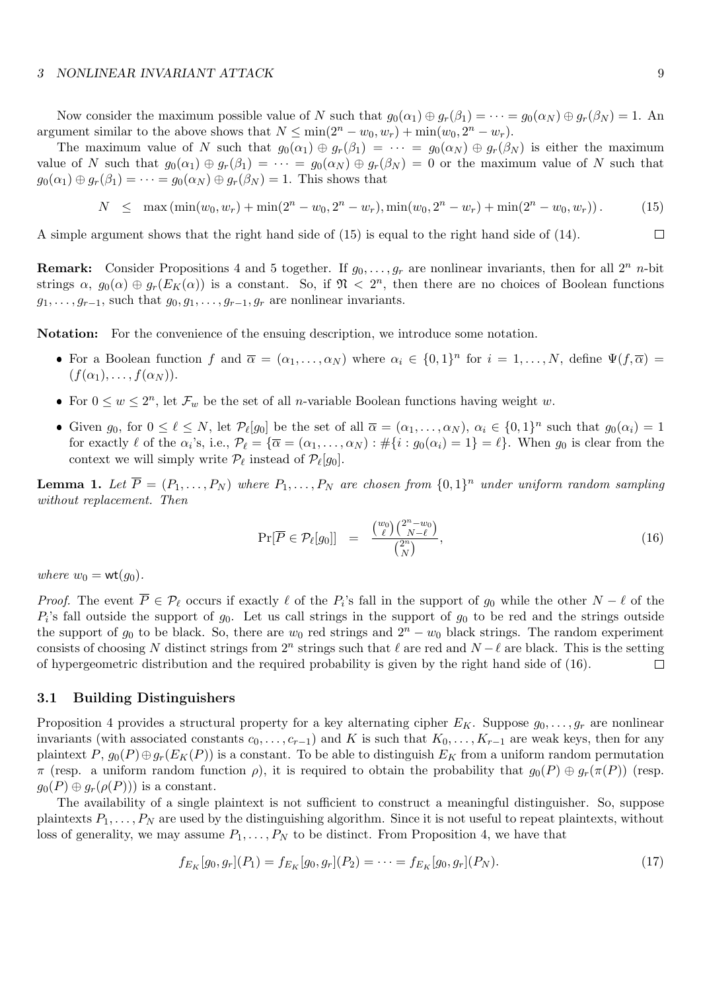#### 3 NONLINEAR INVARIANT ATTACK 9

Now consider the maximum possible value of N such that  $g_0(\alpha_1) \oplus g_r(\beta_1) = \cdots = g_0(\alpha_N) \oplus g_r(\beta_N) = 1$ . An argument similar to the above shows that  $N \le \min(2^n - w_0, w_r) + \min(w_0, 2^n - w_r)$ .

The maximum value of N such that  $g_0(\alpha_1) \oplus g_r(\beta_1) = \cdots = g_0(\alpha_N) \oplus g_r(\beta_N)$  is either the maximum value of N such that  $g_0(\alpha_1) \oplus g_r(\beta_1) = \cdots = g_0(\alpha_N) \oplus g_r(\beta_N) = 0$  or the maximum value of N such that  $g_0(\alpha_1) \oplus g_r(\beta_1) = \cdots = g_0(\alpha_N) \oplus g_r(\beta_N) = 1$ . This shows that

$$
N \leq \max(\min(w_0, w_r) + \min(2^n - w_0, 2^n - w_r), \min(w_0, 2^n - w_r) + \min(2^n - w_0, w_r)).
$$
 (15)

A simple argument shows that the right hand side of (15) is equal to the right hand side of (14).

**Remark:** Consider Propositions 4 and 5 together. If  $g_0, \ldots, g_r$  are nonlinear invariants, then for all  $2^n$  *n*-bit strings  $\alpha$ ,  $g_0(\alpha) \oplus g_r(E_K(\alpha))$  is a constant. So, if  $\mathfrak{N} < 2^n$ , then there are no choices of Boolean functions  $g_1, \ldots, g_{r-1}$ , such that  $g_0, g_1, \ldots, g_{r-1}, g_r$  are nonlinear invariants.

Notation: For the convenience of the ensuing description, we introduce some notation.

- For a Boolean function f and  $\overline{\alpha} = (\alpha_1, \ldots, \alpha_N)$  where  $\alpha_i \in \{0,1\}^n$  for  $i = 1, \ldots, N$ , define  $\Psi(f, \overline{\alpha}) =$  $(f(\alpha_1),\ldots,f(\alpha_N)).$
- For  $0 \leq w \leq 2^n$ , let  $\mathcal{F}_w$  be the set of all *n*-variable Boolean functions having weight w.
- Given  $g_0$ , for  $0 \le \ell \le N$ , let  $\mathcal{P}_{\ell}[g_0]$  be the set of all  $\overline{\alpha} = (\alpha_1, \ldots, \alpha_N)$ ,  $\alpha_i \in \{0, 1\}^n$  such that  $g_0(\alpha_i) = 1$ for exactly  $\ell$  of the  $\alpha_i$ 's, i.e.,  $\mathcal{P}_{\ell} = {\overline{\alpha}} = (\alpha_1, \ldots, \alpha_N) : \#\{i : g_0(\alpha_i) = 1\} = \ell$ . When  $g_0$  is clear from the context we will simply write  $\mathcal{P}_{\ell}$  instead of  $\mathcal{P}_{\ell}[g_0]$ .

**Lemma 1.** Let  $\overline{P} = (P_1, \ldots, P_N)$  where  $P_1, \ldots, P_N$  are chosen from  $\{0,1\}^n$  under uniform random sampling without replacement. Then

$$
\Pr[\overline{P} \in \mathcal{P}_{\ell}[g_0]] = \frac{\binom{w_0}{\ell} \binom{2^n - w_0}{N - \ell}}{\binom{2^n}{N}},\tag{16}
$$

where  $w_0 = \text{wt}(g_0)$ .

*Proof.* The event  $\overline{P} \in \mathcal{P}_\ell$  occurs if exactly  $\ell$  of the  $P_i$ 's fall in the support of  $g_0$  while the other  $N - \ell$  of the  $P_i$ 's fall outside the support of  $g_0$ . Let us call strings in the support of  $g_0$  to be red and the strings outside the support of  $g_0$  to be black. So, there are  $w_0$  red strings and  $2^n - w_0$  black strings. The random experiment consists of choosing N distinct strings from  $2^n$  strings such that  $\ell$  are red and  $N - \ell$  are black. This is the setting of hypergeometric distribution and the required probability is given by the right hand side of (16).  $\Box$ 

### 3.1 Building Distinguishers

Proposition 4 provides a structural property for a key alternating cipher  $E_K$ . Suppose  $g_0, \ldots, g_r$  are nonlinear invariants (with associated constants  $c_0, \ldots, c_{r-1}$ ) and K is such that  $K_0, \ldots, K_{r-1}$  are weak keys, then for any plaintext P,  $g_0(P) \oplus g_r(E_K(P))$  is a constant. To be able to distinguish  $E_K$  from a uniform random permutation  $\pi$  (resp. a uniform random function  $\rho$ ), it is required to obtain the probability that  $g_0(P) \oplus g_r(\pi(P))$  (resp.  $g_0(P) \oplus g_r(\rho(P))$  is a constant.

The availability of a single plaintext is not sufficient to construct a meaningful distinguisher. So, suppose plaintexts  $P_1, \ldots, P_N$  are used by the distinguishing algorithm. Since it is not useful to repeat plaintexts, without loss of generality, we may assume  $P_1, \ldots, P_N$  to be distinct. From Proposition 4, we have that

$$
f_{E_K}[g_0, g_r](P_1) = f_{E_K}[g_0, g_r](P_2) = \dots = f_{E_K}[g_0, g_r](P_N). \tag{17}
$$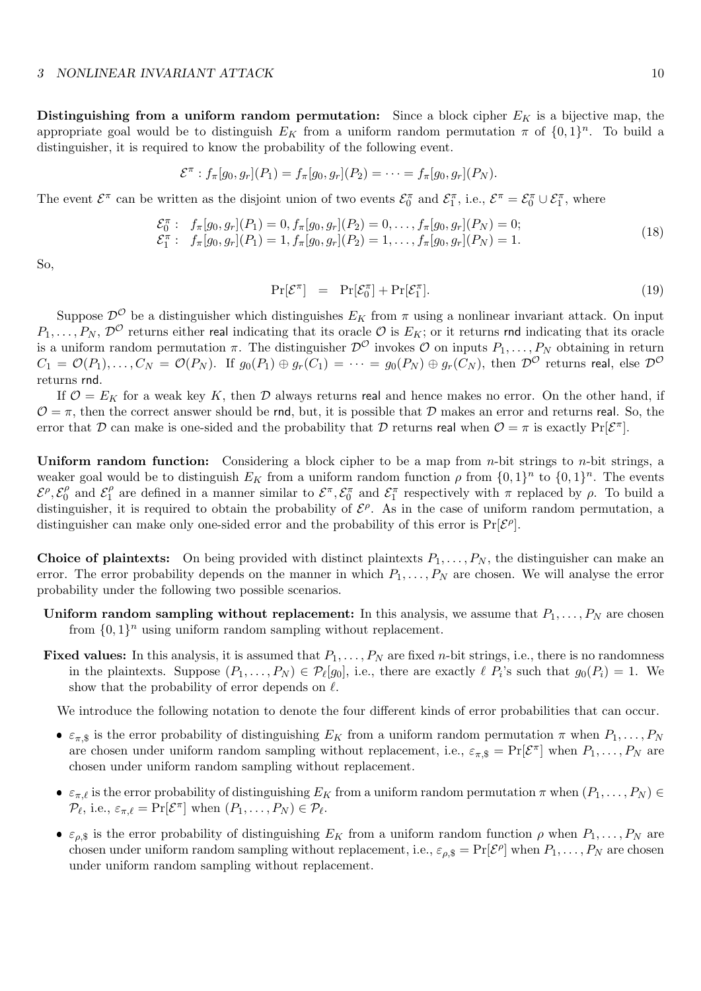Distinguishing from a uniform random permutation: Since a block cipher  $E_K$  is a bijective map, the appropriate goal would be to distinguish  $E_K$  from a uniform random permutation  $\pi$  of  $\{0,1\}^n$ . To build a distinguisher, it is required to know the probability of the following event.

$$
\mathcal{E}^{\pi}: f_{\pi}[g_0, g_r](P_1) = f_{\pi}[g_0, g_r](P_2) = \cdots = f_{\pi}[g_0, g_r](P_N).
$$

The event  $\mathcal{E}^{\pi}$  can be written as the disjoint union of two events  $\mathcal{E}_0^{\pi}$  and  $\mathcal{E}_1^{\pi}$ , i.e.,  $\mathcal{E}^{\pi} = \mathcal{E}_0^{\pi} \cup \mathcal{E}_1^{\pi}$ , where

$$
\mathcal{E}_0^{\pi}: f_{\pi}[g_0, g_r](P_1) = 0, f_{\pi}[g_0, g_r](P_2) = 0, \dots, f_{\pi}[g_0, g_r](P_N) = 0; \n\mathcal{E}_1^{\pi}: f_{\pi}[g_0, g_r](P_1) = 1, f_{\pi}[g_0, g_r](P_2) = 1, \dots, f_{\pi}[g_0, g_r](P_N) = 1.
$$
\n(18)

So,

$$
\Pr[\mathcal{E}^\pi] = \Pr[\mathcal{E}_0^\pi] + \Pr[\mathcal{E}_1^\pi]. \tag{19}
$$

Suppose  $\mathcal{D}^{\mathcal{O}}$  be a distinguisher which distinguishes  $E_K$  from  $\pi$  using a nonlinear invariant attack. On input  $P_1, \ldots, P_N, \mathcal{D}^{\mathcal{O}}$  returns either real indicating that its oracle  $\mathcal{O}$  is  $E_K$ ; or it returns rnd indicating that its oracle is a uniform random permutation  $\pi$ . The distinguisher  $\mathcal{D}^{\mathcal{O}}$  invokes  $\mathcal{O}$  on inputs  $P_1, \ldots, P_N$  obtaining in return  $C_1 = \mathcal{O}(P_1), \ldots, C_N = \mathcal{O}(P_N)$ . If  $g_0(P_1) \oplus g_r(C_1) = \cdots = g_0(P_N) \oplus g_r(C_N)$ , then  $\mathcal{D}^{\mathcal{O}}$  returns real, else  $\mathcal{D}^{\mathcal{O}}$ returns rnd.

If  $\mathcal{O} = E_K$  for a weak key K, then D always returns real and hence makes no error. On the other hand, if  $\mathcal{O} = \pi$ , then the correct answer should be rnd, but, it is possible that D makes an error and returns real. So, the error that D can make is one-sided and the probability that D returns real when  $\mathcal{O} = \pi$  is exactly  $Pr[\mathcal{E}^{\pi}]$ .

Uniform random function: Considering a block cipher to be a map from *n*-bit strings to *n*-bit strings, a weaker goal would be to distinguish  $E_K$  from a uniform random function  $\rho$  from  $\{0,1\}^n$  to  $\{0,1\}^n$ . The events  $\mathcal{E}^{\rho}, \mathcal{E}^{\rho}_{0}$  $\epsilon_0^{\rho}$  and  $\mathcal{E}_1^{\rho}$  $\int_1^{\rho}$  are defined in a manner similar to  $\mathcal{E}^{\pi}, \mathcal{E}_0^{\pi}$  and  $\mathcal{E}_1^{\pi}$  respectively with  $\pi$  replaced by  $\rho$ . To build a distinguisher, it is required to obtain the probability of  $\mathcal{E}^{\rho}$ . As in the case of uniform random permutation, a distinguisher can make only one-sided error and the probability of this error is  $Pr[\mathcal{E}^{\rho}]$ .

**Choice of plaintexts:** On being provided with distinct plaintexts  $P_1, \ldots, P_N$ , the distinguisher can make an error. The error probability depends on the manner in which  $P_1, \ldots, P_N$  are chosen. We will analyse the error probability under the following two possible scenarios.

- Uniform random sampling without replacement: In this analysis, we assume that  $P_1, \ldots, P_N$  are chosen from  $\{0,1\}^n$  using uniform random sampling without replacement.
- **Fixed values:** In this analysis, it is assumed that  $P_1, \ldots, P_N$  are fixed *n*-bit strings, i.e., there is no randomness in the plaintexts. Suppose  $(P_1, \ldots, P_N) \in \mathcal{P}_{\ell}[g_0]$ , i.e., there are exactly  $\ell \ P_i$ 's such that  $g_0(P_i) = 1$ . We show that the probability of error depends on  $\ell$ .

We introduce the following notation to denote the four different kinds of error probabilities that can occur.

- $\bullet \varepsilon_{\pi,\$}$  is the error probability of distinguishing  $E_K$  from a uniform random permutation  $\pi$  when  $P_1,\ldots,P_N$ are chosen under uniform random sampling without replacement, i.e.,  $\varepsilon_{\pi, \$} = \Pr[\mathcal{E}^{\pi}]$  when  $P_1, \ldots, P_N$  are chosen under uniform random sampling without replacement.
- $\varepsilon_{\pi,\ell}$  is the error probability of distinguishing  $E_K$  from a uniform random permutation  $\pi$  when  $(P_1,\ldots, P_N) \in$  $\mathcal{P}_{\ell}$ , i.e.,  $\varepsilon_{\pi,\ell} = \Pr[\mathcal{E}^{\pi}]$  when  $(P_1,\ldots,P_N) \in \mathcal{P}_{\ell}$ .
- $\bullet \varepsilon_{\rho,\$}$  is the error probability of distinguishing  $E_K$  from a uniform random function  $\rho$  when  $P_1,\ldots,P_N$  are chosen under uniform random sampling without replacement, i.e.,  $\varepsilon_{\rho, \$} = \Pr[\mathcal{E}^{\rho}]$  when  $P_1, \ldots, P_N$  are chosen under uniform random sampling without replacement.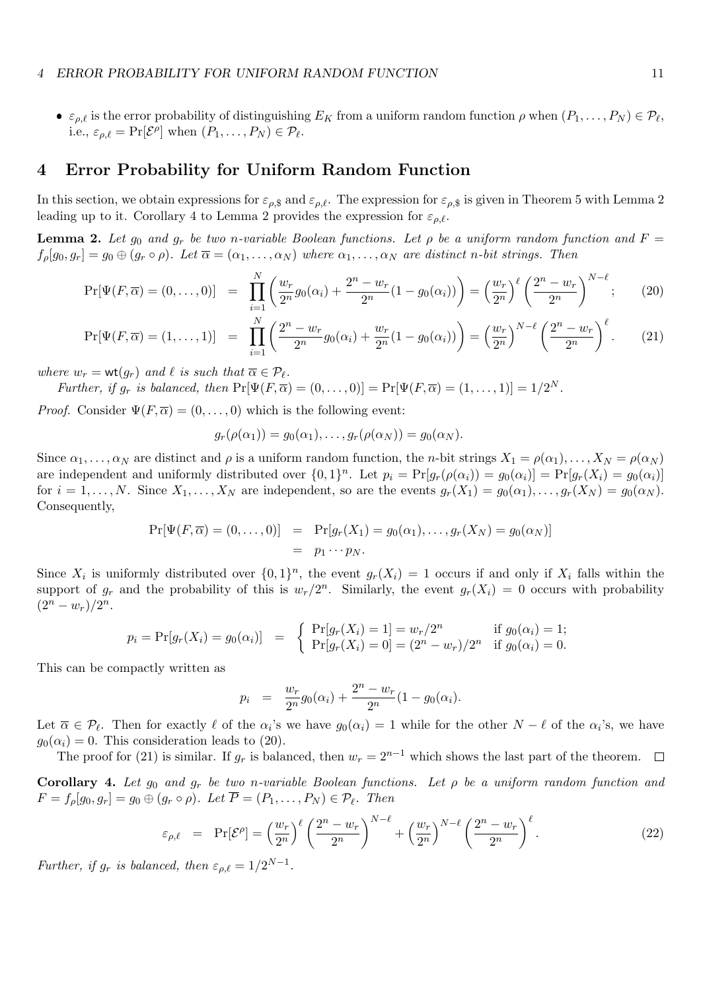#### 4 ERROR PROBABILITY FOR UNIFORM RANDOM FUNCTION 11

•  $\varepsilon_{\rho,\ell}$  is the error probability of distinguishing  $E_K$  from a uniform random function  $\rho$  when  $(P_1,\ldots, P_N) \in \mathcal{P}_\ell$ , i.e.,  $\varepsilon_{\rho,\ell} = \Pr[\mathcal{E}^{\rho}]$  when  $(P_1,\ldots,P_N) \in \mathcal{P}_{\ell}$ .

### 4 Error Probability for Uniform Random Function

In this section, we obtain expressions for  $\varepsilon_{\rho,s}$  and  $\varepsilon_{\rho,\ell}$ . The expression for  $\varepsilon_{\rho,s}$  is given in Theorem 5 with Lemma 2 leading up to it. Corollary 4 to Lemma 2 provides the expression for  $\varepsilon_{\rho,\ell}$ .

**Lemma 2.** Let  $g_0$  and  $g_r$  be two n-variable Boolean functions. Let  $\rho$  be a uniform random function and  $F =$  $f_{\rho}[g_0, g_r] = g_0 \oplus (g_r \circ \rho)$ . Let  $\overline{\alpha} = (\alpha_1, \dots, \alpha_N)$  where  $\alpha_1, \dots, \alpha_N$  are distinct n-bit strings. Then

$$
\Pr[\Psi(F,\overline{\alpha})=(0,\ldots,0)] = \prod_{i=1}^{N} \left(\frac{w_r}{2^n}g_0(\alpha_i) + \frac{2^n - w_r}{2^n}(1-g_0(\alpha_i))\right) = \left(\frac{w_r}{2^n}\right)^{\ell} \left(\frac{2^n - w_r}{2^n}\right)^{N-\ell};\tag{20}
$$

$$
\Pr[\Psi(F,\overline{\alpha})=(1,\ldots,1)] = \prod_{i=1}^{N} \left(\frac{2^n - w_r}{2^n} g_0(\alpha_i) + \frac{w_r}{2^n} (1 - g_0(\alpha_i))\right) = \left(\frac{w_r}{2^n}\right)^{N-\ell} \left(\frac{2^n - w_r}{2^n}\right)^{\ell}.
$$
 (21)

where  $w_r = \text{wt}(g_r)$  and  $\ell$  is such that  $\overline{\alpha} \in \mathcal{P}_{\ell}$ .

Further, if  $g_r$  is balanced, then  $\Pr[\Psi(F,\overline{\alpha})=(0,\ldots,0)] = \Pr[\Psi(F,\overline{\alpha})=(1,\ldots,1)] = 1/2^N$ .

*Proof.* Consider  $\Psi(F, \overline{\alpha}) = (0, \ldots, 0)$  which is the following event:

$$
g_r(\rho(\alpha_1))=g_0(\alpha_1),\ldots,g_r(\rho(\alpha_N))=g_0(\alpha_N).
$$

Since  $\alpha_1, \ldots, \alpha_N$  are distinct and  $\rho$  is a uniform random function, the *n*-bit strings  $X_1 = \rho(\alpha_1), \ldots, X_N = \rho(\alpha_N)$ are independent and uniformly distributed over  $\{0,1\}^n$ . Let  $p_i = \Pr[g_r(\rho(\alpha_i))] = g_0(\alpha_i)] = \Pr[g_r(X_i) = g_0(\alpha_i)]$ for  $i = 1, ..., N$ . Since  $X_1, ..., X_N$  are independent, so are the events  $g_r(X_1) = g_0(\alpha_1), ..., g_r(X_N) = g_0(\alpha_N)$ . Consequently,

$$
Pr[\Psi(F,\overline{\alpha})=(0,\ldots,0)] = Pr[g_r(X_1)=g_0(\alpha_1),\ldots,g_r(X_N)=g_0(\alpha_N)]
$$
  
=  $p_1\cdots p_N.$ 

Since  $X_i$  is uniformly distributed over  $\{0,1\}^n$ , the event  $g_r(X_i) = 1$  occurs if and only if  $X_i$  falls within the support of  $g_r$  and the probability of this is  $w_r/2^n$ . Similarly, the event  $g_r(X_i) = 0$  occurs with probability  $(2^n - w_r)/2^n$ .

$$
p_i = \Pr[g_r(X_i) = g_0(\alpha_i)] = \begin{cases} \Pr[g_r(X_i) = 1] = w_r/2^n & \text{if } g_0(\alpha_i) = 1; \\ \Pr[g_r(X_i) = 0] = (2^n - w_r)/2^n & \text{if } g_0(\alpha_i) = 0. \end{cases}
$$

This can be compactly written as

$$
p_i = \frac{w_r}{2^n} g_0(\alpha_i) + \frac{2^n - w_r}{2^n} (1 - g_0(\alpha_i)).
$$

Let  $\overline{\alpha} \in \mathcal{P}_\ell$ . Then for exactly  $\ell$  of the  $\alpha_i$ 's we have  $g_0(\alpha_i) = 1$  while for the other  $N - \ell$  of the  $\alpha_i$ 's, we have  $q_0(\alpha_i) = 0$ . This consideration leads to (20).

The proof for (21) is similar. If  $g_r$  is balanced, then  $w_r = 2^{n-1}$  which shows the last part of the theorem.  $\Box$ 

Corollary 4. Let  $g_0$  and  $g_r$  be two n-variable Boolean functions. Let  $\rho$  be a uniform random function and  $F = f_{\rho}[g_0, g_r] = g_0 \oplus (g_r \circ \rho)$ . Let  $P = (P_1, \ldots, P_N) \in \mathcal{P}_{\ell}$ . Then

$$
\varepsilon_{\rho,\ell} = \Pr[\mathcal{E}^{\rho}] = \left(\frac{w_r}{2^n}\right)^{\ell} \left(\frac{2^n - w_r}{2^n}\right)^{N-\ell} + \left(\frac{w_r}{2^n}\right)^{N-\ell} \left(\frac{2^n - w_r}{2^n}\right)^{\ell}.
$$
\n(22)

Further, if  $g_r$  is balanced, then  $\varepsilon_{\rho,\ell} = 1/2^{N-1}$ .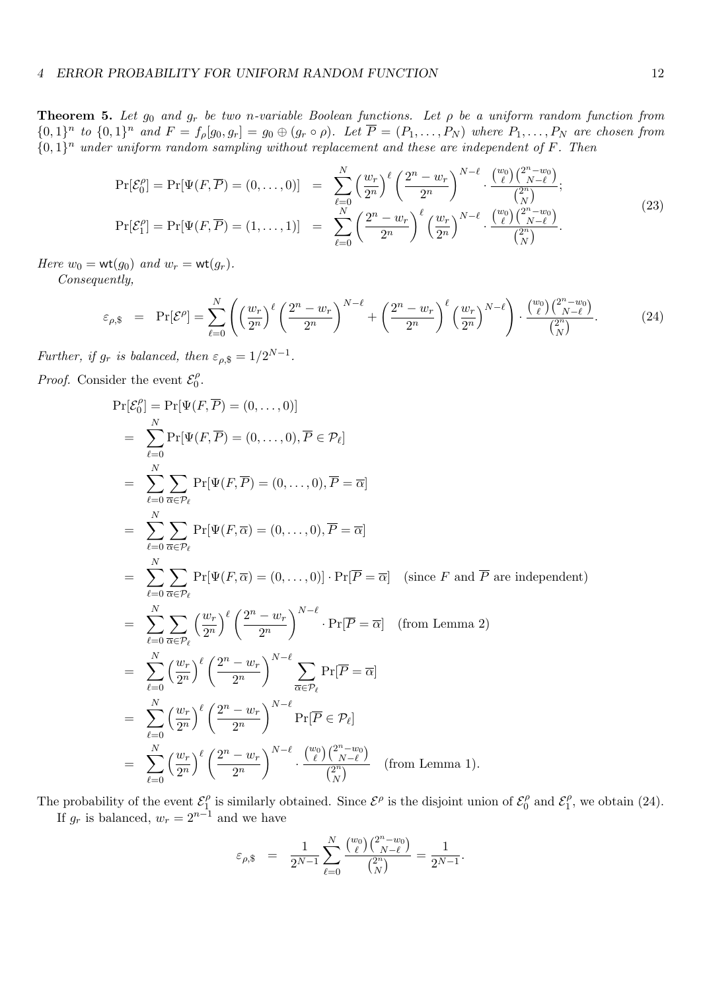**Theorem 5.** Let  $g_0$  and  $g_r$  be two n-variable Boolean functions. Let  $\rho$  be a uniform random function from  $\{0,1\}^n$  to  $\{0,1\}^n$  and  $F = f_\rho[g_0, g_r] = g_0 \oplus (g_r \circ \rho)$ . Let  $\overline{P} = (P_1, \ldots, P_N)$  where  $P_1, \ldots, P_N$  are chosen from  ${0,1}^n$  under uniform random sampling without replacement and these are independent of F. Then

$$
\Pr[\mathcal{E}_0^\rho] = \Pr[\Psi(F, \overline{P}) = (0, \dots, 0)] = \sum_{\ell=0}^N \left(\frac{w_r}{2^n}\right)^\ell \left(\frac{2^n - w_r}{2^n}\right)^{N-\ell} \cdot \frac{\binom{w_0}{\ell}\binom{2^n - w_0}{N-\ell}}{\binom{2^n}{N}},
$$
\n
$$
\Pr[\mathcal{E}_1^\rho] = \Pr[\Psi(F, \overline{P}) = (1, \dots, 1)] = \sum_{\ell=0}^N \left(\frac{2^n - w_r}{2^n}\right)^\ell \left(\frac{w_r}{2^n}\right)^{N-\ell} \cdot \frac{\binom{w_0}{\ell}\binom{2^n - w_0}{N-\ell}}{\binom{2^n}{N}}.
$$
\n(23)

Here  $w_0 = \text{wt}(g_0)$  and  $w_r = \text{wt}(g_r)$ . Consequently,

$$
\varepsilon_{\rho,\$} = \Pr[\mathcal{E}^{\rho}] = \sum_{\ell=0}^{N} \left( \left( \frac{w_r}{2^n} \right)^{\ell} \left( \frac{2^n - w_r}{2^n} \right)^{N-\ell} + \left( \frac{2^n - w_r}{2^n} \right)^{\ell} \left( \frac{w_r}{2^n} \right)^{N-\ell} \right) \cdot \frac{\binom{w_0}{\ell} \binom{2^n - w_0}{N-\ell}}{\binom{2^n}{N}}.
$$
(24)

Further, if  $g_r$  is balanced, then  $\varepsilon_{\rho, \$}=1/2^{N-1}$ .

*Proof.* Consider the event  $\mathcal{E}_0^{\rho}$  $\begin{matrix} \rho \ 0 \end{matrix}$ .

$$
\Pr[\mathcal{E}_0^{\rho}] = \Pr[\Psi(F, \overline{P}) = (0, ..., 0)]
$$
\n
$$
= \sum_{\ell=0}^{N} \Pr[\Psi(F, \overline{P}) = (0, ..., 0), \overline{P} \in \mathcal{P}_{\ell}]
$$
\n
$$
= \sum_{\ell=0}^{N} \sum_{\overline{\alpha} \in \mathcal{P}_{\ell}} \Pr[\Psi(F, \overline{P}) = (0, ..., 0), \overline{P} = \overline{\alpha}]
$$
\n
$$
= \sum_{\ell=0}^{N} \sum_{\overline{\alpha} \in \mathcal{P}_{\ell}} \Pr[\Psi(F, \overline{\alpha}) = (0, ..., 0), \overline{P} = \overline{\alpha}]
$$
\n
$$
= \sum_{\ell=0}^{N} \sum_{\overline{\alpha} \in \mathcal{P}_{\ell}} \Pr[\Psi(F, \overline{\alpha}) = (0, ..., 0)] \cdot \Pr[\overline{P} = \overline{\alpha}] \quad \text{(since } F \text{ and } \overline{P} \text{ are independent)}
$$
\n
$$
= \sum_{\ell=0}^{N} \sum_{\overline{\alpha} \in \mathcal{P}_{\ell}} \left(\frac{w_r}{2^n}\right)^{\ell} \left(\frac{2^n - w_r}{2^n}\right)^{N-\ell} \cdot \Pr[\overline{P} = \overline{\alpha}] \quad \text{(from Lemma 2)}
$$
\n
$$
= \sum_{\ell=0}^{N} \left(\frac{w_r}{2^n}\right)^{\ell} \left(\frac{2^n - w_r}{2^n}\right)^{N-\ell} \sum_{\overline{\alpha} \in \mathcal{P}_{\ell}} \Pr[\overline{P} = \overline{\alpha}]
$$
\n
$$
= \sum_{\ell=0}^{N} \left(\frac{w_r}{2^n}\right)^{\ell} \left(\frac{2^n - w_r}{2^n}\right)^{N-\ell} \Pr[\overline{P} \in \mathcal{P}_{\ell}]
$$
\n
$$
= \sum_{\ell=0}^{N} \left(\frac{w_r}{2^n}\right)^{\ell} \left(\frac{2^n - w_r}{2^n}\right)^{N-\ell} \cdot \frac{\binom{w_0}{\ell} \binom{2^n - w_0}{N-\ell}}{\binom{2^n}{N}} \quad \text{(from Lemma 1)}.
$$

The probability of the event  $\mathcal{E}_1^{\rho}$  $\mathcal{L}_1^{\rho}$  is similarly obtained. Since  $\mathcal{E}^{\rho}$  is the disjoint union of  $\mathcal{E}_0^{\rho}$  $\mathcal{E}_0^{\rho}$  and  $\mathcal{E}_1^{\rho}$  $C_1^{\rho}$ , we obtain (24). If  $g_r$  is balanced,  $w_r = 2^{n-1}$  and we have

$$
\varepsilon_{\rho,\$} \ = \ \frac{1}{2^{N-1}} \sum_{\ell=0}^N \frac{\binom{w_0}{\ell} \binom{2^n - w_0}{N - \ell}}{\binom{2^n}{N}} = \frac{1}{2^{N-1}}.
$$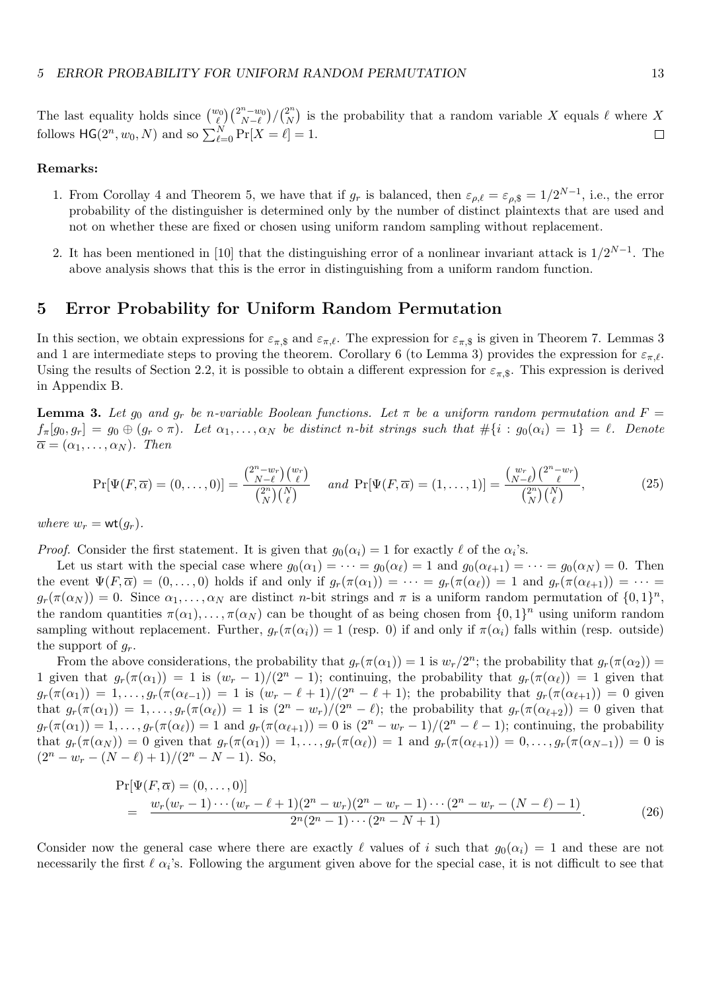The last equality holds since  $\binom{w_0}{\ell}\binom{2^n-w_0}{N-\ell}/\binom{2^n}{N}$  $X \atop N$ ) is the probability that a random variable X equals  $\ell$  where X follows  $HG(2^n, w_0, N)$  and so  $\sum_{\ell=0}^{N} Pr[X=\ell] = 1$ .

### Remarks:

- 1. From Corollay 4 and Theorem 5, we have that if  $g_r$  is balanced, then  $\varepsilon_{\rho,\ell} = \varepsilon_{\rho,\varnothing} = 1/2^{N-1}$ , i.e., the error probability of the distinguisher is determined only by the number of distinct plaintexts that are used and not on whether these are fixed or chosen using uniform random sampling without replacement.
- 2. It has been mentioned in [10] that the distinguishing error of a nonlinear invariant attack is  $1/2^{N-1}$ . The above analysis shows that this is the error in distinguishing from a uniform random function.

## 5 Error Probability for Uniform Random Permutation

In this section, we obtain expressions for  $\varepsilon_{\pi, \$}$  and  $\varepsilon_{\pi, \ell}$ . The expression for  $\varepsilon_{\pi, \$}$  is given in Theorem 7. Lemmas 3 and 1 are intermediate steps to proving the theorem. Corollary 6 (to Lemma 3) provides the expression for  $\varepsilon_{\pi,\ell}$ . Using the results of Section 2.2, it is possible to obtain a different expression for  $\varepsilon_{\pi, \$}$ . This expression is derived in Appendix B.

**Lemma 3.** Let  $g_0$  and  $g_r$  be n-variable Boolean functions. Let  $\pi$  be a uniform random permutation and  $F =$  $f_{\pi}[g_0, g_r] = g_0 \oplus (g_r \circ \pi)$ . Let  $\alpha_1, \ldots, \alpha_N$  be distinct n-bit strings such that  $\#\{i : g_0(\alpha_i) = 1\} = \ell$ . Denote  $\overline{\alpha} = (\alpha_1, \ldots, \alpha_N)$ . Then

$$
\Pr[\Psi(F,\overline{\alpha})=(0,\ldots,0)]=\frac{\binom{2^n-w_r}{N-\ell}\binom{w_r}{\ell}}{\binom{2^n}{N}\binom{N}{\ell}}\quad\text{and}\quad\Pr[\Psi(F,\overline{\alpha})=(1,\ldots,1)]=\frac{\binom{w_r}{N-\ell}\binom{2^n-w_r}{\ell}}{\binom{2^n}{N}\binom{N}{\ell}},\tag{25}
$$

where  $w_r = \text{wt}(g_r)$ .

*Proof.* Consider the first statement. It is given that  $g_0(\alpha_i) = 1$  for exactly  $\ell$  of the  $\alpha_i$ 's.

Let us start with the special case where  $g_0(\alpha_1) = \cdots = g_0(\alpha_\ell) = 1$  and  $g_0(\alpha_{\ell+1}) = \cdots = g_0(\alpha_N) = 0$ . Then the event  $\Psi(F,\overline{\alpha})=(0,\ldots,0)$  holds if and only if  $g_r(\pi(\alpha_1))=\cdots=g_r(\pi(\alpha_\ell))=1$  and  $g_r(\pi(\alpha_{\ell+1}))=\cdots=1$  $g_r(\pi(\alpha_N)) = 0$ . Since  $\alpha_1, \ldots, \alpha_N$  are distinct *n*-bit strings and  $\pi$  is a uniform random permutation of  $\{0, 1\}^n$ , the random quantities  $\pi(\alpha_1), \ldots, \pi(\alpha_N)$  can be thought of as being chosen from  $\{0, 1\}^n$  using uniform random sampling without replacement. Further,  $g_r(\pi(\alpha_i)) = 1$  (resp. 0) if and only if  $\pi(\alpha_i)$  falls within (resp. outside) the support of  $g_r$ .

From the above considerations, the probability that  $g_r(\pi(\alpha_1)) = 1$  is  $w_r/2^n$ ; the probability that  $g_r(\pi(\alpha_2)) =$ 1 given that  $g_r(\pi(\alpha_1)) = 1$  is  $(w_r - 1)/(2^n - 1)$ ; continuing, the probability that  $g_r(\pi(\alpha_\ell)) = 1$  given that  $g_r(\pi(\alpha_1)) = 1, \ldots, g_r(\pi(\alpha_{\ell-1})) = 1$  is  $(w_r - \ell + 1)/(2^n - \ell + 1)$ ; the probability that  $g_r(\pi(\alpha_{\ell+1})) = 0$  given that  $g_r(\pi(\alpha_1)) = 1, \ldots, g_r(\pi(\alpha_\ell)) = 1$  is  $(2^n - w_r)/(2^n - \ell)$ ; the probability that  $g_r(\pi(\alpha_{\ell+2})) = 0$  given that  $g_r(\pi(\alpha_1)) = 1, \ldots, g_r(\pi(\alpha_\ell)) = 1$  and  $g_r(\pi(\alpha_{\ell+1})) = 0$  is  $(2^n - w_r - 1)/(2^n - \ell - 1)$ ; continuing, the probability that  $g_r(\pi(\alpha_N)) = 0$  given that  $g_r(\pi(\alpha_1)) = 1, \ldots, g_r(\pi(\alpha_\ell)) = 1$  and  $g_r(\pi(\alpha_{\ell+1})) = 0, \ldots, g_r(\pi(\alpha_{N-1})) = 0$  is  $(2^{n} - w_r - (N - \ell) + 1)/(2^{n} - N - 1)$ . So,

$$
\Pr[\Psi(F,\overline{\alpha})=(0,\ldots,0)]
$$
\n
$$
=\frac{w_r(w_r-1)\cdots(w_r-\ell+1)(2^n-w_r)(2^n-w_r-1)\cdots(2^n-w_r-(N-\ell)-1)}{2^n(2^n-1)\cdots(2^n-N+1)}.
$$
\n(26)

Consider now the general case where there are exactly  $\ell$  values of i such that  $g_0(\alpha_i) = 1$  and these are not necessarily the first  $\ell \alpha_i$ 's. Following the argument given above for the special case, it is not difficult to see that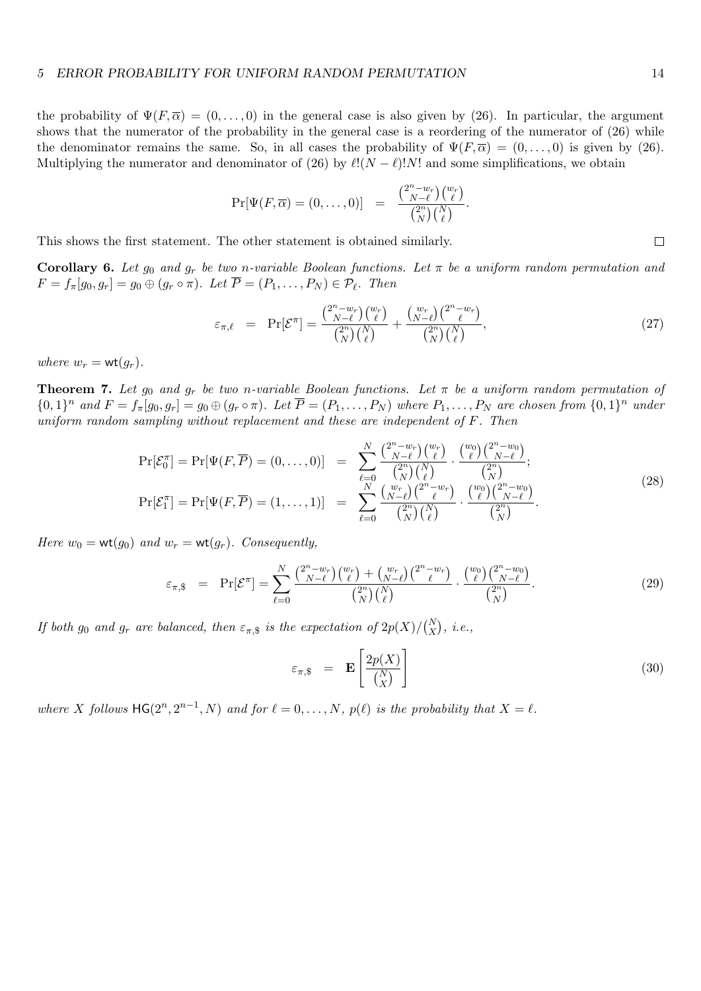the probability of  $\Psi(F,\overline{\alpha})=(0,\ldots,0)$  in the general case is also given by (26). In particular, the argument shows that the numerator of the probability in the general case is a reordering of the numerator of (26) while the denominator remains the same. So, in all cases the probability of  $\Psi(F,\overline{\alpha}) = (0,\ldots,0)$  is given by (26). Multiplying the numerator and denominator of (26) by  $\ell!(N - \ell)!N!$  and some simplifications, we obtain

$$
\Pr[\Psi(F,\overline{\alpha})=(0,\ldots,0)] = \frac{\binom{2^n-w_r}{N-\ell}\binom{w_r}{\ell}}{\binom{2^n}{N}\binom{N}{\ell}}.
$$

This shows the first statement. The other statement is obtained similarly.

Corollary 6. Let  $g_0$  and  $g_r$  be two n-variable Boolean functions. Let  $\pi$  be a uniform random permutation and  $F = f_{\pi}[g_0, g_r] = g_0 \oplus (g_r \circ \pi)$ . Let  $\overline{P} = (P_1, \ldots, P_N) \in \mathcal{P}_{\ell}$ . Then

$$
\varepsilon_{\pi,\ell} = \Pr[\mathcal{E}^{\pi}] = \frac{\binom{2^n - w_r}{N - \ell} \binom{w_r}{\ell}}{\binom{2^n}{N} \binom{N}{\ell}} + \frac{\binom{w_r}{N - \ell} \binom{2^n - w_r}{\ell}}{\binom{2^n}{N} \binom{N}{\ell}},\tag{27}
$$

where  $w_r = \text{wt}(g_r)$ .

**Theorem 7.** Let  $g_0$  and  $g_r$  be two n-variable Boolean functions. Let  $\pi$  be a uniform random permutation of  $\{0,1\}^n$  and  $F = f_\pi[g_0, g_r] = g_0 \oplus (g_r \circ \pi)$ . Let  $\overline{P} = (P_1, \ldots, P_N)$  where  $P_1, \ldots, P_N$  are chosen from  $\{0,1\}^n$  under uniform random sampling without replacement and these are independent of F. Then

$$
\Pr[\mathcal{E}_0^{\pi}] = \Pr[\Psi(F, \overline{P}) = (0, \dots, 0)] = \sum_{\ell=0}^{N} \frac{\binom{2^n - w_r}{N - \ell} \binom{w_r}{\ell}}{\binom{2^n}{N} \binom{N}{\ell}} \cdot \frac{\binom{w_0}{\ell} \binom{2^n - w_0}{N - \ell}}{\binom{2^n}{N}}; \n\Pr[\mathcal{E}_1^{\pi}] = \Pr[\Psi(F, \overline{P}) = (1, \dots, 1)] = \sum_{\ell=0}^{N} \frac{\binom{w_r}{N - \ell} \binom{2^n - w_r}{\ell}}{\binom{2^n}{N} \binom{N}{\ell}} \cdot \frac{\binom{w_0}{\ell} \binom{2^n - w_0}{N - \ell}}{\binom{2^n}{N}}.
$$
\n(28)

Here  $w_0 = \text{wt}(g_0)$  and  $w_r = \text{wt}(g_r)$ . Consequently,

$$
\varepsilon_{\pi,\$} = \Pr[\mathcal{E}^{\pi}] = \sum_{\ell=0}^{N} \frac{\binom{2^n - w_r}{N-\ell} \binom{w_r}{\ell} + \binom{w_r}{N-\ell} \binom{2^n - w_r}{\ell}}{\binom{2^n}{N} \binom{N}{\ell}} \cdot \frac{\binom{w_0}{\ell} \binom{2^n - w_0}{N-\ell}}{\binom{2^n}{N}}.
$$
\n(29)

If both g<sub>0</sub> and  $g_r$  are balanced, then  $\varepsilon_{\pi, \$}$  is the expectation of  $2p(X)/\binom{N}{X}$ , i.e.,

$$
\varepsilon_{\pi,\$} = \mathbf{E}\left[\frac{2p(X)}{\binom{N}{X}}\right] \tag{30}
$$

where X follows  $HG(2^n, 2^{n-1}, N)$  and for  $\ell = 0, \ldots, N$ ,  $p(\ell)$  is the probability that  $X = \ell$ .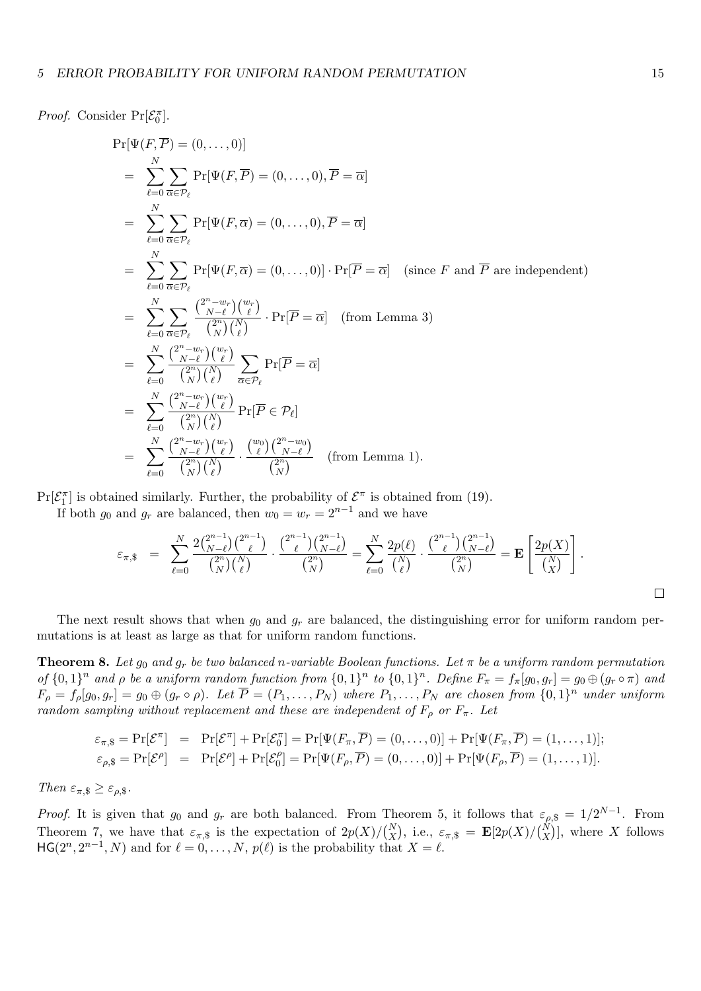*Proof.* Consider  $Pr[\mathcal{E}_0^{\pi}]$ .

$$
\Pr[\Psi(F,\overline{P})=(0,\ldots,0)]
$$
\n
$$
= \sum_{\ell=0}^{N} \sum_{\overline{\alpha}\in P_{\ell}} \Pr[\Psi(F,\overline{P})=(0,\ldots,0),\overline{P}=\overline{\alpha}]
$$
\n
$$
= \sum_{\ell=0}^{N} \sum_{\overline{\alpha}\in P_{\ell}} \Pr[\Psi(F,\overline{\alpha})=(0,\ldots,0),\overline{P}=\overline{\alpha}]
$$
\n
$$
= \sum_{\ell=0}^{N} \sum_{\overline{\alpha}\in P_{\ell}} \Pr[\Psi(F,\overline{\alpha})=(0,\ldots,0)] \cdot \Pr[\overline{P}=\overline{\alpha}] \quad \text{(since } F \text{ and } \overline{P} \text{ are independent)}
$$
\n
$$
= \sum_{\ell=0}^{N} \sum_{\overline{\alpha}\in P_{\ell}} \frac{\binom{2^n-w_r}{N-\ell} \binom{w_r}{\ell}}{\binom{2^n}{N} \binom{N}{\ell}} \cdot \Pr[\overline{P}=\overline{\alpha}] \quad \text{(from Lemma 3)}
$$
\n
$$
= \sum_{\ell=0}^{N} \frac{\binom{2^n-w_r}{N-\ell} \binom{w_r}{\ell}}{\binom{2^n}{N} \binom{N}{\ell}} \sum_{\overline{\alpha}\in P_{\ell}} \Pr[\overline{P}=\overline{\alpha}]
$$
\n
$$
= \sum_{\ell=0}^{N} \frac{\binom{2^n-w_r}{N-\ell} \binom{w_r}{\ell}}{\binom{2^n}{N} \binom{N}{\ell}} \Pr[\overline{P} \in \mathcal{P}_{\ell}]
$$
\n
$$
= \sum_{\ell=0}^{N} \frac{\binom{2^n-w_r}{N-\ell} \binom{w_r}{\ell}}{\binom{2^n}{N} \binom{2^n}{\ell}} \cdot \frac{\binom{w_0}{\ell} \binom{2^n-w_0}{N-\ell}}{\binom{2^n}{N}}
$$
\n(from Lemma 1).

 $Pr[\mathcal{E}_1^{\pi}]$  is obtained similarly. Further, the probability of  $\mathcal{E}^{\pi}$  is obtained from (19).

If both  $g_0$  and  $g_r$  are balanced, then  $w_0 = w_r = 2^{n-1}$  and we have

$$
\varepsilon_{\pi,\$} = \sum_{\ell=0}^{N} \frac{2\binom{2^{n-1}}{N-\ell} \binom{2^{n-1}}{\ell}}{\binom{2^n}{N} \binom{N}{N}} \cdot \frac{\binom{2^{n-1}}{\ell} \binom{2^{n-1}}{N-\ell}}{\binom{2^n}{N}} = \sum_{\ell=0}^{N} \frac{2p(\ell)}{\binom{N}{\ell}} \cdot \frac{\binom{2^{n-1}}{\ell} \binom{2^{n-1}}{N-\ell}}{\binom{2^n}{N}} = \mathbf{E}\left[\frac{2p(X)}{\binom{N}{X}}\right].
$$

The next result shows that when  $g_0$  and  $g_r$  are balanced, the distinguishing error for uniform random permutations is at least as large as that for uniform random functions.

**Theorem 8.** Let  $g_0$  and  $g_r$  be two balanced n-variable Boolean functions. Let  $\pi$  be a uniform random permutation of  $\{0,1\}^n$  and  $\rho$  be a uniform random function from  $\{0,1\}^n$  to  $\{0,1\}^n$ . Define  $F_{\pi} = f_{\pi}[g_0, g_r] = g_0 \oplus (g_r \circ \pi)$  and  $F_{\rho} = f_{\rho}[g_0, g_r] = g_0 \oplus (g_r \circ \rho)$ . Let  $\overline{P} = (P_1, \ldots, P_N)$  where  $P_1, \ldots, P_N$  are chosen from  $\{0,1\}^n$  under uniform random sampling without replacement and these are independent of  $F_{\rho}$  or  $F_{\pi}$ . Let

$$
\varepsilon_{\pi,\$} = \Pr[\mathcal{E}^{\pi}] = \Pr[\mathcal{E}^{\pi}] + \Pr[\mathcal{E}_0^{\pi}] = \Pr[\Psi(F_{\pi}, \overline{P}) = (0, \dots, 0)] + \Pr[\Psi(F_{\pi}, \overline{P}) = (1, \dots, 1)];
$$
  

$$
\varepsilon_{\rho,\$} = \Pr[\mathcal{E}^{\rho}] = \Pr[\mathcal{E}^{\rho}] + \Pr[\mathcal{E}_0^{\rho}] = \Pr[\Psi(F_{\rho}, \overline{P}) = (0, \dots, 0)] + \Pr[\Psi(F_{\rho}, \overline{P}) = (1, \dots, 1)].
$$

Then  $\varepsilon_{\pi, \$} \geq \varepsilon_{\rho, \$}.$ 

*Proof.* It is given that  $g_0$  and  $g_r$  are both balanced. From Theorem 5, it follows that  $\varepsilon_{\rho, s} = 1/2^{N-1}$ . From Theorem 7, we have that  $\varepsilon_{\pi, \$}$  is the expectation of  $2p(X)/\binom{N}{X}$ , i.e.,  $\varepsilon_{\pi, \$} = \mathbf{E}[2p(X)/\binom{N}{X}]$ , where X follows  $\textsf{HG}(2^n, 2^{n-1}, N)$  and for  $\ell = 0, \ldots, N, p(\ell)$  is the probability that  $X = \ell$ .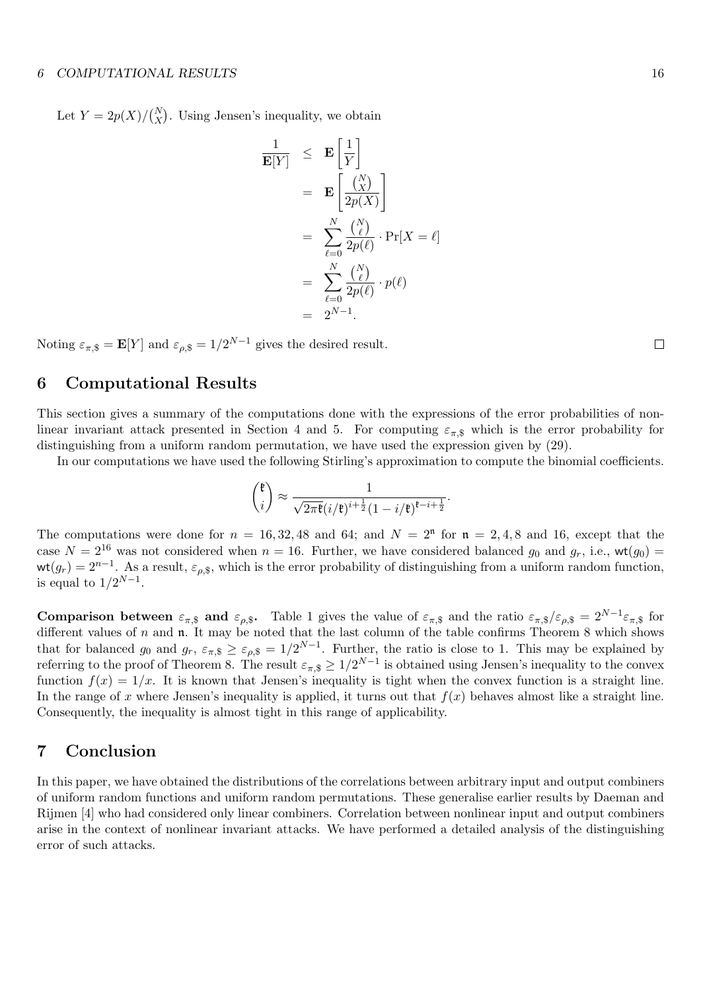Let  $Y = 2p(X)/\binom{N}{X}$ . Using Jensen's inequality, we obtain

$$
\frac{1}{\mathbf{E}[Y]} \leq \mathbf{E}\left[\frac{1}{Y}\right] \n= \mathbf{E}\left[\frac{\binom{N}{X}}{2p(X)}\right] \n= \sum_{\ell=0}^{N} \frac{\binom{N}{\ell}}{2p(\ell)} \cdot \Pr[X=\ell] \n= \sum_{\ell=0}^{N} \frac{\binom{N}{\ell}}{2p(\ell)} \cdot p(\ell) \n= 2^{N-1}.
$$

Noting  $\varepsilon_{\pi, \$} = \mathbf{E}[Y]$  and  $\varepsilon_{\rho, \$} = 1/2^{N-1}$  gives the desired result.

## 6 Computational Results

This section gives a summary of the computations done with the expressions of the error probabilities of nonlinear invariant attack presented in Section 4 and 5. For computing  $\varepsilon_{\pi, \mathcal{S}}$  which is the error probability for distinguishing from a uniform random permutation, we have used the expression given by (29).

In our computations we have used the following Stirling's approximation to compute the binomial coefficients.

$$
\binom{\mathfrak{k}}{i} \approx \frac{1}{\sqrt{2\pi\mathfrak{k}}(i/\mathfrak{k})^{i+\frac{1}{2}}(1-i/\mathfrak{k})^{\mathfrak{k}-i+\frac{1}{2}}}.
$$

The computations were done for  $n = 16, 32, 48$  and 64; and  $N = 2<sup>n</sup>$  for  $n = 2, 4, 8$  and 16, except that the case  $N = 2^{16}$  was not considered when  $n = 16$ . Further, we have considered balanced  $g_0$  and  $g_r$ , i.e., wt( $g_0$ ) =  $\text{wt}(g_r) = 2^{n-1}$ . As a result,  $\varepsilon_{\rho, \$}$ , which is the error probability of distinguishing from a uniform random function, is equal to  $1/2^{N-1}$ .

**Comparison between**  $\varepsilon_{\pi, \mathcal{S}}$  and  $\varepsilon_{\rho, \mathcal{S}}$ . Table 1 gives the value of  $\varepsilon_{\pi, \mathcal{S}}$  and the ratio  $\varepsilon_{\pi, \mathcal{S}}/\varepsilon_{\rho, \mathcal{S}} = 2^{N-1}\varepsilon_{\pi, \mathcal{S}}$  for different values of  $n$  and  $\mathfrak n$ . It may be noted that the last column of the table confirms Theorem 8 which shows that for balanced  $g_0$  and  $g_r$ ,  $\varepsilon_{\pi, \$} \geq \varepsilon_{\rho, \$} = 1/2^{N-1}$ . Further, the ratio is close to 1. This may be explained by referring to the proof of Theorem 8. The result  $\varepsilon_{\pi, \$} \geq 1/2^{N-1}$  is obtained using Jensen's inequality to the convex function  $f(x) = 1/x$ . It is known that Jensen's inequality is tight when the convex function is a straight line. In the range of x where Jensen's inequality is applied, it turns out that  $f(x)$  behaves almost like a straight line. Consequently, the inequality is almost tight in this range of applicability.

## 7 Conclusion

In this paper, we have obtained the distributions of the correlations between arbitrary input and output combiners of uniform random functions and uniform random permutations. These generalise earlier results by Daeman and Rijmen [4] who had considered only linear combiners. Correlation between nonlinear input and output combiners arise in the context of nonlinear invariant attacks. We have performed a detailed analysis of the distinguishing error of such attacks.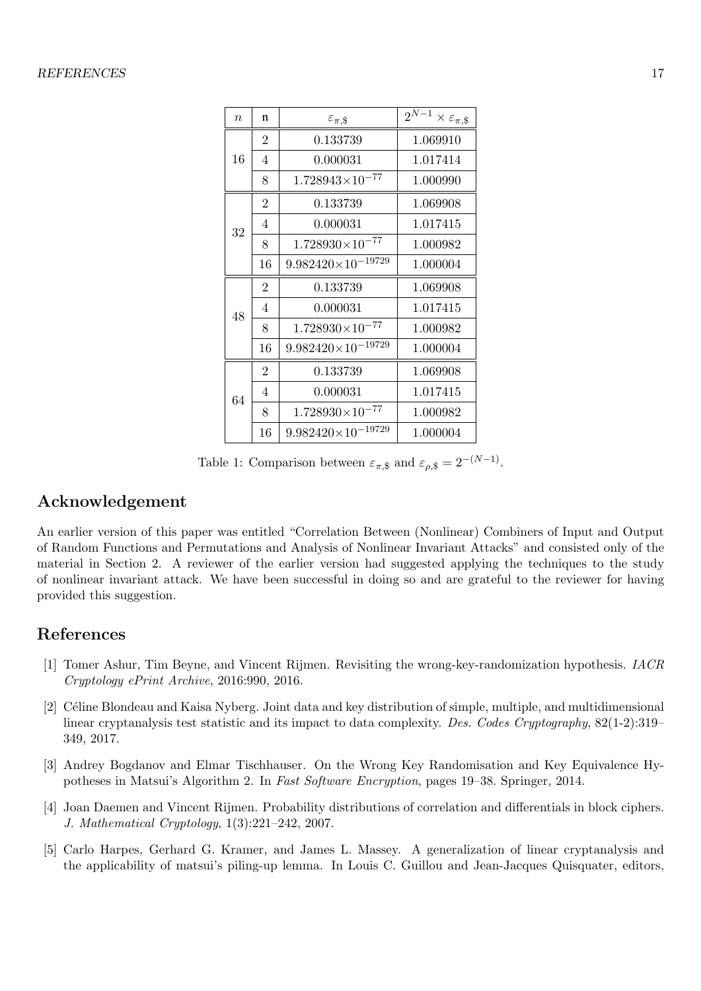### REFERENCES 17

| $\overline{n}$ | $\mathfrak n$  | $\varepsilon_{\pi,\$}$        | $\overline{2}^{N-1}\times\varepsilon_{\pi,\$}$ |
|----------------|----------------|-------------------------------|------------------------------------------------|
| 16             | $\overline{2}$ | 0.133739                      | 1.069910                                       |
|                | $\overline{4}$ | 0.000031                      | 1.017414                                       |
|                | 8              | $1.728943{\times}10^{-77}$    | 1.000990                                       |
| 32             | $\overline{2}$ | 0.133739                      | 1.069908                                       |
|                | $\overline{4}$ | 0.000031                      | 1.017415                                       |
|                | 8              | $1.728930{\times}10^{-77}$    | 1.000982                                       |
|                | 16             | $9.982420\times10^{-19729}$   | 1.000004                                       |
| 48             | $\overline{2}$ | 0.133739                      | 1.069908                                       |
|                | $\overline{4}$ | 0.000031                      | 1.017415                                       |
|                | 8              | $1.728930\times10^{-77}$      | 1.000982                                       |
|                | 16             | $9.982420\times10^{-19729}$   | 1.000004                                       |
| 64             | $\overline{2}$ | 0.133739                      | 1.069908                                       |
|                | $\overline{4}$ | 0.000031                      | 1.017415                                       |
|                | 8              | $1.728930{\times}10^{-77}$    | 1.000982                                       |
|                | 16             | $9.982420{\times}10^{-19729}$ | 1.000004                                       |

Table 1: Comparison between  $\varepsilon_{\pi, \S}$  and  $\varepsilon_{\rho, \S} = 2^{-(N-1)}$ .

## Acknowledgement

An earlier version of this paper was entitled "Correlation Between (Nonlinear) Combiners of Input and Output of Random Functions and Permutations and Analysis of Nonlinear Invariant Attacks" and consisted only of the material in Section 2. A reviewer of the earlier version had suggested applying the techniques to the study of nonlinear invariant attack. We have been successful in doing so and are grateful to the reviewer for having provided this suggestion.

## References

- [1] Tomer Ashur, Tim Beyne, and Vincent Rijmen. Revisiting the wrong-key-randomization hypothesis. IACR Cryptology ePrint Archive, 2016:990, 2016.
- [2] Céline Blondeau and Kaisa Nyberg. Joint data and key distribution of simple, multiple, and multidimensional linear cryptanalysis test statistic and its impact to data complexity. Des. Codes Cryptography, 82(1-2):319– 349, 2017.
- [3] Andrey Bogdanov and Elmar Tischhauser. On the Wrong Key Randomisation and Key Equivalence Hypotheses in Matsui's Algorithm 2. In Fast Software Encryption, pages 19–38. Springer, 2014.
- [4] Joan Daemen and Vincent Rijmen. Probability distributions of correlation and differentials in block ciphers. J. Mathematical Cryptology, 1(3):221–242, 2007.
- [5] Carlo Harpes, Gerhard G. Kramer, and James L. Massey. A generalization of linear cryptanalysis and the applicability of matsui's piling-up lemma. In Louis C. Guillou and Jean-Jacques Quisquater, editors,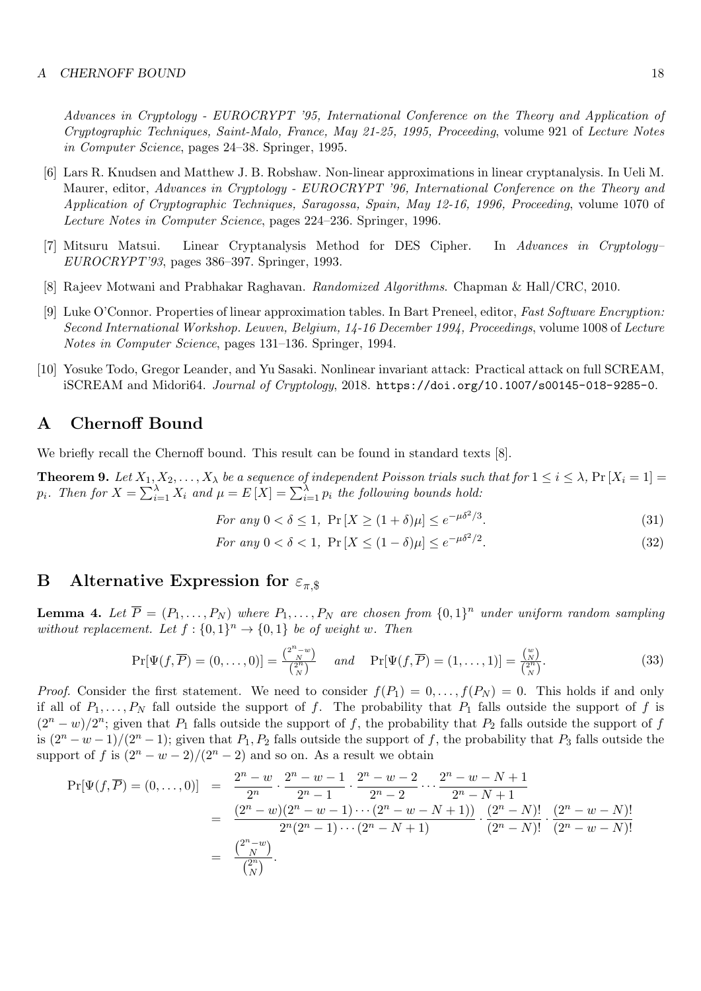### A CHERNOFF BOUND 18

Advances in Cryptology - EUROCRYPT '95, International Conference on the Theory and Application of Cryptographic Techniques, Saint-Malo, France, May 21-25, 1995, Proceeding, volume 921 of Lecture Notes in Computer Science, pages 24–38. Springer, 1995.

- [6] Lars R. Knudsen and Matthew J. B. Robshaw. Non-linear approximations in linear cryptanalysis. In Ueli M. Maurer, editor, Advances in Cryptology - EUROCRYPT '96, International Conference on the Theory and Application of Cryptographic Techniques, Saragossa, Spain, May 12-16, 1996, Proceeding, volume 1070 of Lecture Notes in Computer Science, pages 224–236. Springer, 1996.
- [7] Mitsuru Matsui. Linear Cryptanalysis Method for DES Cipher. In Advances in Cryptology– EUROCRYPT'93, pages 386–397. Springer, 1993.
- [8] Rajeev Motwani and Prabhakar Raghavan. Randomized Algorithms. Chapman & Hall/CRC, 2010.
- [9] Luke O'Connor. Properties of linear approximation tables. In Bart Preneel, editor, Fast Software Encryption: Second International Workshop. Leuven, Belgium, 14-16 December 1994, Proceedings, volume 1008 of Lecture Notes in Computer Science, pages 131–136. Springer, 1994.
- [10] Yosuke Todo, Gregor Leander, and Yu Sasaki. Nonlinear invariant attack: Practical attack on full SCREAM, iSCREAM and Midori64. Journal of Cryptology, 2018. https://doi.org/10.1007/s00145-018-9285-0.

## A Chernoff Bound

We briefly recall the Chernoff bound. This result can be found in standard texts [8].

**Theorem 9.** Let  $X_1, X_2, \ldots, X_\lambda$  be a sequence of independent Poisson trials such that for  $1 \le i \le \lambda$ ,  $Pr[X_i = 1] =$  $p_i$ . Then for  $X = \sum_{i=1}^{\lambda} X_i$  and  $\mu = E[X] = \sum_{i=1}^{\lambda} p_i$  the following bounds hold:

$$
For any 0 < \delta \le 1, \Pr[X \ge (1+\delta)\mu] \le e^{-\mu\delta^2/3}.
$$
\n
$$
(31)
$$

For any 
$$
0 < \delta < 1
$$
,  $\Pr[X \le (1 - \delta)\mu] \le e^{-\mu \delta^2/2}$ . (32)

## B Alternative Expression for  $\varepsilon_{\pi, \S}$

**Lemma 4.** Let  $\overline{P} = (P_1, \ldots, P_N)$  where  $P_1, \ldots, P_N$  are chosen from  $\{0,1\}^n$  under uniform random sampling without replacement. Let  $f: \{0,1\}^n \to \{0,1\}$  be of weight w. Then

$$
\Pr[\Psi(f,\overline{P})=(0,\ldots,0)]=\frac{\binom{2^n-w}{N}}{\binom{2^n}{N}} \quad \text{and} \quad \Pr[\Psi(f,\overline{P})=(1,\ldots,1)]=\frac{\binom{w}{N}}{\binom{2^n}{N}}.
$$
\n(33)

*Proof.* Consider the first statement. We need to consider  $f(P_1) = 0, \ldots, f(P_N) = 0$ . This holds if and only if all of  $P_1, \ldots, P_N$  fall outside the support of f. The probability that  $P_1$  falls outside the support of f is  $(2^{n}-w)/2^{n}$ ; given that  $P_1$  falls outside the support of f, the probability that  $P_2$  falls outside the support of f is  $(2^{n}-w-1)/(2^{n}-1)$ ; given that  $P_1, P_2$  falls outside the support of f, the probability that  $P_3$  falls outside the support of f is  $(2^{n} - w - 2)/(2^{n} - 2)$  and so on. As a result we obtain

$$
\Pr[\Psi(f,\overline{P})=(0,\ldots,0)] = \frac{2^n - w}{2^n} \cdot \frac{2^n - w - 1}{2^n - 1} \cdot \frac{2^n - w - 2}{2^n - 2} \cdots \frac{2^n - w - N + 1}{2^n - N + 1}
$$
  
\n
$$
= \frac{(2^n - w)(2^n - w - 1)\cdots(2^n - w - N + 1))}{2^n (2^n - 1)\cdots(2^n - N + 1)} \cdot \frac{(2^n - N)!}{(2^n - N)!} \cdot \frac{(2^n - w - N)!}{(2^n - w - N)!}
$$
  
\n
$$
= \frac{\binom{2^n - w}{N}}{\binom{2^n}{N}}.
$$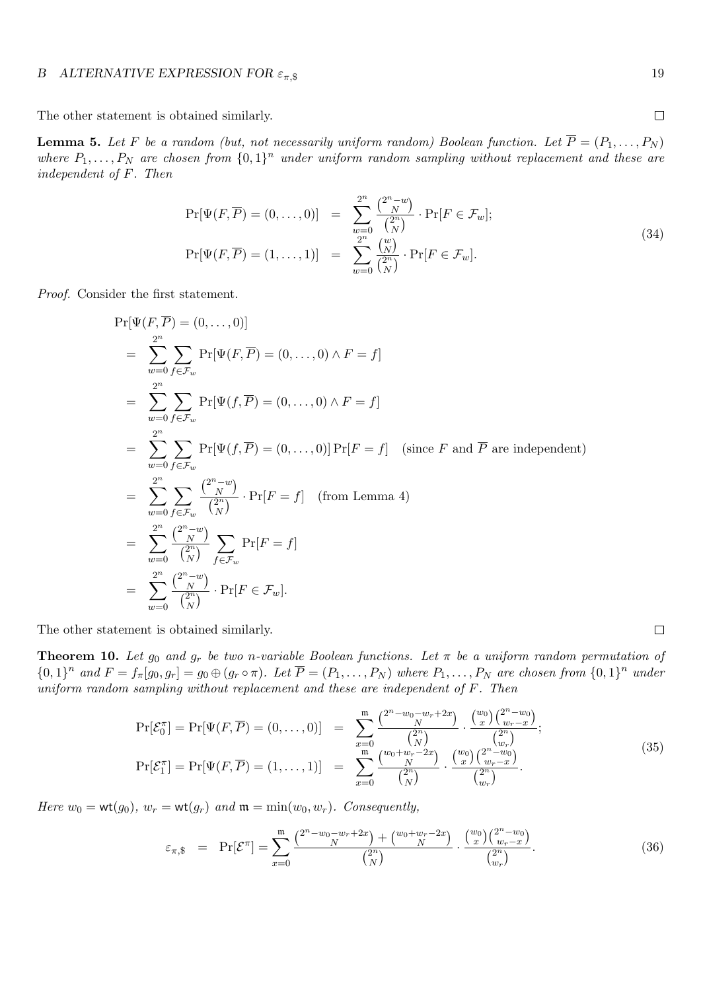### B ALTERNATIVE EXPRESSION FOR  $\varepsilon_{\pi, \S}$  19

The other statement is obtained similarly.

**Lemma 5.** Let F be a random (but, not necessarily uniform random) Boolean function. Let  $\overline{P} = (P_1, \ldots, P_N)$ where  $P_1, \ldots, P_N$  are chosen from  $\{0,1\}^n$  under uniform random sampling without replacement and these are independent of F. Then

$$
\Pr[\Psi(F,\overline{P}) = (0,\ldots,0)] = \sum_{w=0}^{2^n} \frac{\binom{2^n - w}{N}}{\binom{2^n}{N}} \cdot \Pr[F \in \mathcal{F}_w];
$$
\n
$$
\Pr[\Psi(F,\overline{P}) = (1,\ldots,1)] = \sum_{w=0}^{2^n} \frac{\binom{w}{N}}{\binom{2^n}{N}} \cdot \Pr[F \in \mathcal{F}_w].
$$
\n(34)

Proof. Consider the first statement.

$$
\Pr[\Psi(F, P) = (0, \dots, 0)]
$$
\n
$$
= \sum_{w=0}^{2^n} \sum_{f \in \mathcal{F}_w} \Pr[\Psi(F, \overline{P}) = (0, \dots, 0) \land F = f]
$$
\n
$$
= \sum_{w=0}^{2^n} \sum_{f \in \mathcal{F}_w} \Pr[\Psi(f, \overline{P}) = (0, \dots, 0) \land F = f]
$$
\n
$$
= \sum_{w=0}^{2^n} \sum_{f \in \mathcal{F}_w} \Pr[\Psi(f, \overline{P}) = (0, \dots, 0)] \Pr[F = f] \quad \text{(since } F \text{ and } \overline{P} \text{ are independent)}
$$
\n
$$
= \sum_{w=0}^{2^n} \sum_{f \in \mathcal{F}_w} \frac{\binom{2^n - w}{N}}{\binom{2^n}{N}} \cdot \Pr[F = f] \quad \text{(from Lemma 4)}
$$
\n
$$
= \sum_{w=0}^{2^n} \frac{\binom{2^n - w}{N}}{\binom{2^n}{N}} \sum_{f \in \mathcal{F}_w} \Pr[F = f]
$$
\n
$$
= \sum_{w=0}^{2^n} \frac{\binom{2^n - w}{N}}{\binom{2^n}{N}} \cdot \Pr[F \in \mathcal{F}_w].
$$

The other statement is obtained similarly.

**Theorem 10.** Let  $g_0$  and  $g_r$  be two n-variable Boolean functions. Let  $\pi$  be a uniform random permutation of  $\{0,1\}^n$  and  $F = f_\pi[g_0, g_r] = g_0 \oplus (g_r \circ \pi)$ . Let  $\overline{P} = (P_1, \ldots, P_N)$  where  $P_1, \ldots, P_N$  are chosen from  $\{0,1\}^n$  under uniform random sampling without replacement and these are independent of F. Then

$$
\Pr[\mathcal{E}_0^{\pi}] = \Pr[\Psi(F, \overline{P}) = (0, ..., 0)] = \sum_{x=0}^{\mathfrak{m}} \frac{\binom{2^n - w_0 - w_r + 2x}{N} \cdot \frac{\binom{w_0}{x} \binom{2^n - w_0}{w_r - x}}{\binom{2^n}{N}}}{\binom{2^n}{N}};
$$
\n
$$
\Pr[\mathcal{E}_1^{\pi}] = \Pr[\Psi(F, \overline{P}) = (1, ..., 1)] = \sum_{x=0}^{\mathfrak{m}} \frac{\binom{w_0 + w_r - 2x}{N} \cdot \frac{\binom{w_0}{x} \binom{2^n - w_0}{w_r - x}}{\binom{2^n}{w_r}}}{\binom{2^n}{w_r}}.
$$
\n(35)

Here  $w_0 = \text{wt}(g_0), w_r = \text{wt}(g_r)$  and  $\mathfrak{m} = \min(w_0, w_r)$ . Consequently,

$$
\varepsilon_{\pi,\$} = \Pr[\mathcal{E}^{\pi}] = \sum_{x=0}^{m} \frac{\binom{2^n - w_0 - w_r + 2x}{N} + \binom{w_0 + w_r - 2x}{N}}{\binom{2^n}{N}} \cdot \frac{\binom{w_0}{x} \binom{2^n - w_0}{w_r - x}}{\binom{2^n}{w_r}}.
$$
\n(36)

 $\Box$